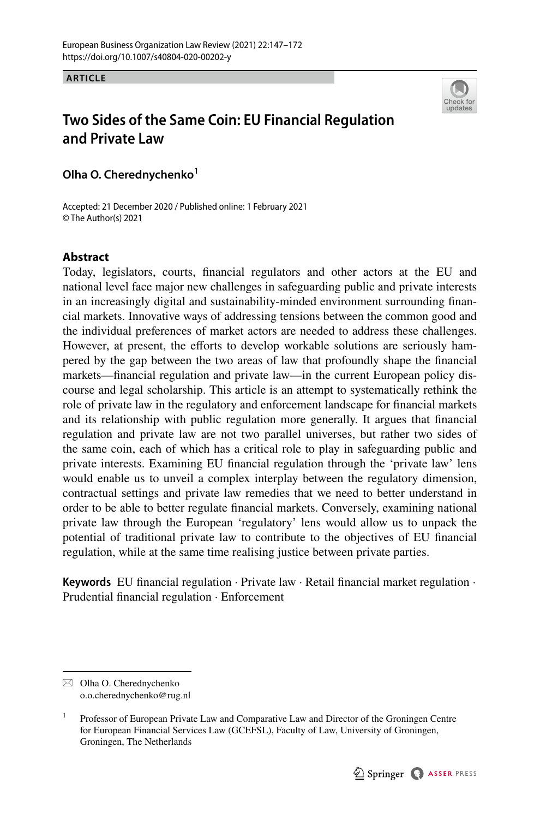**ARTICLE**



# **Two Sides of the Same Coin: EU Financial Regulation and Private Law**

**Olha O. Cherednychenko**<sup>1</sup>

Accepted: 21 December 2020 / Published online: 1 February 2021 © The Author(s) 2021

### **Abstract**

Today, legislators, courts, fnancial regulators and other actors at the EU and national level face major new challenges in safeguarding public and private interests in an increasingly digital and sustainability-minded environment surrounding fnancial markets. Innovative ways of addressing tensions between the common good and the individual preferences of market actors are needed to address these challenges. However, at present, the eforts to develop workable solutions are seriously hampered by the gap between the two areas of law that profoundly shape the fnancial markets—fnancial regulation and private law—in the current European policy discourse and legal scholarship. This article is an attempt to systematically rethink the role of private law in the regulatory and enforcement landscape for fnancial markets and its relationship with public regulation more generally. It argues that fnancial regulation and private law are not two parallel universes, but rather two sides of the same coin, each of which has a critical role to play in safeguarding public and private interests. Examining EU fnancial regulation through the 'private law' lens would enable us to unveil a complex interplay between the regulatory dimension, contractual settings and private law remedies that we need to better understand in order to be able to better regulate fnancial markets. Conversely, examining national private law through the European 'regulatory' lens would allow us to unpack the potential of traditional private law to contribute to the objectives of EU fnancial regulation, while at the same time realising justice between private parties.

**Keywords** EU fnancial regulation · Private law · Retail fnancial market regulation · Prudential fnancial regulation · Enforcement

 $\boxtimes$  Olha O. Cherednychenko o.o.cherednychenko@rug.nl

<sup>&</sup>lt;sup>1</sup> Professor of European Private Law and Comparative Law and Director of the Groningen Centre for European Financial Services Law (GCEFSL), Faculty of Law, University of Groningen, Groningen, The Netherlands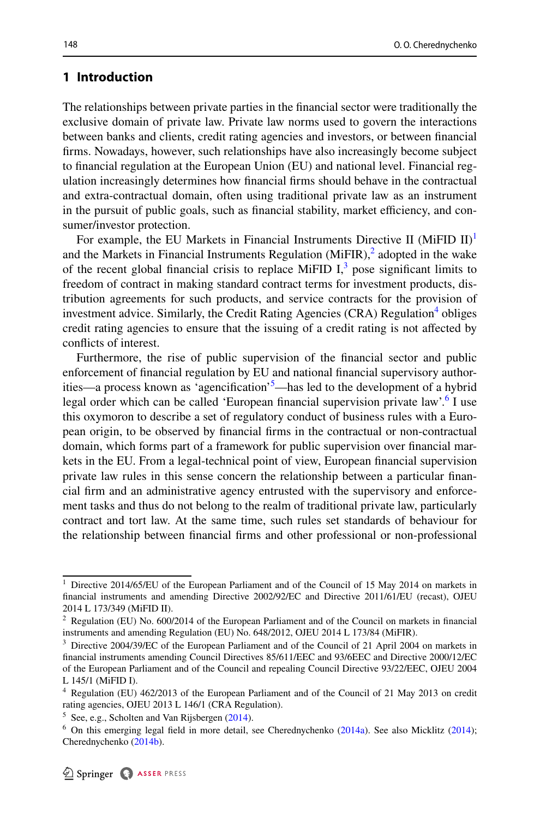# **1 Introduction**

The relationships between private parties in the fnancial sector were traditionally the exclusive domain of private law. Private law norms used to govern the interactions between banks and clients, credit rating agencies and investors, or between fnancial frms. Nowadays, however, such relationships have also increasingly become subject to fnancial regulation at the European Union (EU) and national level. Financial regulation increasingly determines how fnancial frms should behave in the contractual and extra-contractual domain, often using traditional private law as an instrument in the pursuit of public goals, such as financial stability, market efficiency, and consumer/investor protection.

For example, the EU Markets in Financial Instruments Directive II (MiFID II)<sup>[1](#page-1-0)</sup> and the Markets in Financial Instruments Regulation  $(MiFIR)^2$  $(MiFIR)^2$  adopted in the wake of the recent global financial crisis to replace MiFID  $I<sub>1</sub><sup>3</sup>$  $I<sub>1</sub><sup>3</sup>$  $I<sub>1</sub><sup>3</sup>$  pose significant limits to freedom of contract in making standard contract terms for investment products, distribution agreements for such products, and service contracts for the provision of investment advice. Similarly, the Credit Rating Agencies (CRA) Regulation<sup>[4](#page-1-3)</sup> obliges credit rating agencies to ensure that the issuing of a credit rating is not afected by conficts of interest.

Furthermore, the rise of public supervision of the fnancial sector and public enforcement of fnancial regulation by EU and national fnancial supervisory author-ities—a process known as 'agencification'<sup>[5](#page-1-4)</sup>—has led to the development of a hybrid legal order which can be called 'European financial supervision private law'.<sup>[6](#page-1-5)</sup> I use this oxymoron to describe a set of regulatory conduct of business rules with a European origin, to be observed by fnancial frms in the contractual or non-contractual domain, which forms part of a framework for public supervision over fnancial markets in the EU. From a legal-technical point of view, European fnancial supervision private law rules in this sense concern the relationship between a particular fnancial frm and an administrative agency entrusted with the supervisory and enforcement tasks and thus do not belong to the realm of traditional private law, particularly contract and tort law. At the same time, such rules set standards of behaviour for the relationship between fnancial frms and other professional or non-professional

<span id="page-1-0"></span>Directive 2014/65/EU of the European Parliament and of the Council of 15 May 2014 on markets in fnancial instruments and amending Directive 2002/92/EC and Directive 2011/61/EU (recast), OJEU 2014 L 173/349 (MiFID II).

<span id="page-1-1"></span> $2$  Regulation (EU) No. 600/2014 of the European Parliament and of the Council on markets in financial instruments and amending Regulation (EU) No. 648/2012, OJEU 2014 L 173/84 (MiFIR).

<span id="page-1-2"></span><sup>&</sup>lt;sup>3</sup> Directive 2004/39/EC of the European Parliament and of the Council of 21 April 2004 on markets in fnancial instruments amending Council Directives 85/611/EEC and 93/6EEC and Directive 2000/12/EC of the European Parliament and of the Council and repealing Council Directive 93/22/EEC, OJEU 2004 L 145/1 (MiFID I).

<span id="page-1-3"></span><sup>4</sup> Regulation (EU) 462/2013 of the European Parliament and of the Council of 21 May 2013 on credit rating agencies, OJEU 2013 L 146/1 (CRA Regulation).

<span id="page-1-4"></span> $5$  See, e.g., Scholten and Van Rijsbergen  $(2014)$  $(2014)$ .

<span id="page-1-5"></span><sup>&</sup>lt;sup>6</sup> On this emerging legal field in more detail, see Cherednychenko  $(2014a)$ . See also Micklitz  $(2014)$  $(2014)$ ; Cherednychenko [\(2014b](#page-22-1)).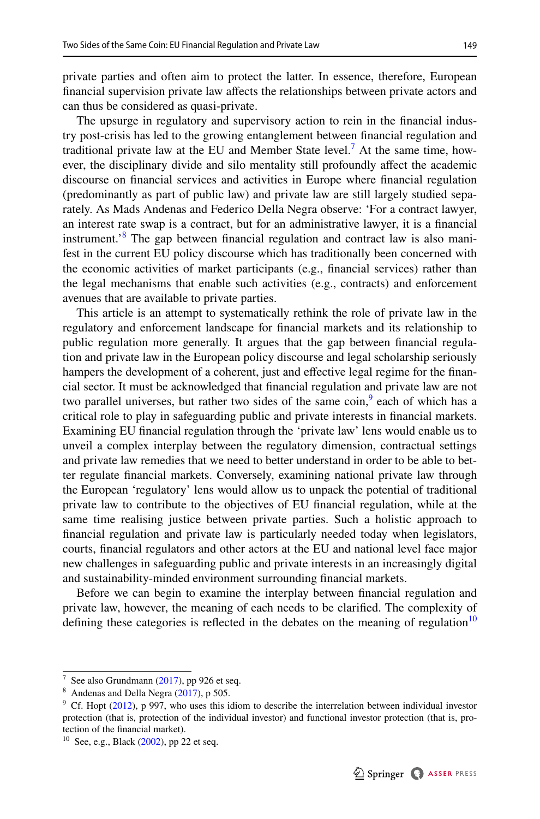private parties and often aim to protect the latter. In essence, therefore, European fnancial supervision private law afects the relationships between private actors and can thus be considered as quasi-private.

The upsurge in regulatory and supervisory action to rein in the fnancial industry post-crisis has led to the growing entanglement between fnancial regulation and traditional private law at the EU and Member State level.<sup> $\textsuperscript{7}$  $\textsuperscript{7}$  $\textsuperscript{7}$ </sup> At the same time, however, the disciplinary divide and silo mentality still profoundly afect the academic discourse on fnancial services and activities in Europe where fnancial regulation (predominantly as part of public law) and private law are still largely studied separately. As Mads Andenas and Federico Della Negra observe: 'For a contract lawyer, an interest rate swap is a contract, but for an administrative lawyer, it is a fnancial instrument.['8](#page-2-1) The gap between fnancial regulation and contract law is also manifest in the current EU policy discourse which has traditionally been concerned with the economic activities of market participants (e.g., fnancial services) rather than the legal mechanisms that enable such activities (e.g., contracts) and enforcement avenues that are available to private parties.

This article is an attempt to systematically rethink the role of private law in the regulatory and enforcement landscape for fnancial markets and its relationship to public regulation more generally. It argues that the gap between fnancial regulation and private law in the European policy discourse and legal scholarship seriously hampers the development of a coherent, just and effective legal regime for the financial sector. It must be acknowledged that fnancial regulation and private law are not two parallel universes, but rather two sides of the same  $\cosh^9$  each of which has a critical role to play in safeguarding public and private interests in fnancial markets. Examining EU fnancial regulation through the 'private law' lens would enable us to unveil a complex interplay between the regulatory dimension, contractual settings and private law remedies that we need to better understand in order to be able to better regulate fnancial markets. Conversely, examining national private law through the European 'regulatory' lens would allow us to unpack the potential of traditional private law to contribute to the objectives of EU fnancial regulation, while at the same time realising justice between private parties. Such a holistic approach to fnancial regulation and private law is particularly needed today when legislators, courts, fnancial regulators and other actors at the EU and national level face major new challenges in safeguarding public and private interests in an increasingly digital and sustainability-minded environment surrounding fnancial markets.

Before we can begin to examine the interplay between fnancial regulation and private law, however, the meaning of each needs to be clarifed. The complexity of defining these categories is reflected in the debates on the meaning of regulation<sup>[10](#page-2-3)</sup>

<span id="page-2-0"></span><sup>&</sup>lt;sup>7</sup> See also Grundmann [\(2017](#page-24-1)), pp 926 et seq.

<span id="page-2-1"></span><sup>8</sup> Andenas and Della Negra ([2017\)](#page-22-2), p 505.

<span id="page-2-2"></span><sup>&</sup>lt;sup>9</sup> Cf. Hopt ([2012\)](#page-24-2), p 997, who uses this idiom to describe the interrelation between individual investor protection (that is, protection of the individual investor) and functional investor protection (that is, protection of the fnancial market).

<span id="page-2-3"></span> $10$  See, e.g., Black ([2002\)](#page-22-3), pp 22 et seq.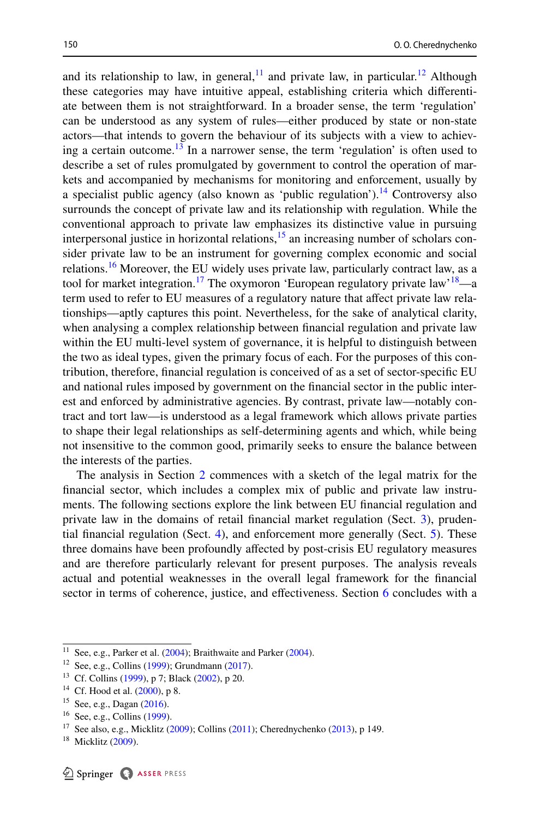and its relationship to law, in general,  $11$  and private law, in particular.<sup>12</sup> Although these categories may have intuitive appeal, establishing criteria which diferentiate between them is not straightforward. In a broader sense, the term 'regulation' can be understood as any system of rules—either produced by state or non-state actors—that intends to govern the behaviour of its subjects with a view to achieving a certain outcome.<sup>13</sup> In a narrower sense, the term 'regulation' is often used to describe a set of rules promulgated by government to control the operation of markets and accompanied by mechanisms for monitoring and enforcement, usually by a specialist public agency (also known as 'public regulation').<sup>14</sup> Controversy also surrounds the concept of private law and its relationship with regulation. While the conventional approach to private law emphasizes its distinctive value in pursuing interpersonal justice in horizontal relations, $15$  an increasing number of scholars consider private law to be an instrument for governing complex economic and social relations.<sup>16</sup> Moreover, the EU widely uses private law, particularly contract law, as a tool for market integration.<sup>17</sup> The oxymoron 'European regulatory private law'<sup>18</sup>—a term used to refer to EU measures of a regulatory nature that afect private law relationships—aptly captures this point. Nevertheless, for the sake of analytical clarity, when analysing a complex relationship between fnancial regulation and private law within the EU multi-level system of governance, it is helpful to distinguish between the two as ideal types, given the primary focus of each. For the purposes of this contribution, therefore, fnancial regulation is conceived of as a set of sector-specifc EU and national rules imposed by government on the fnancial sector in the public interest and enforced by administrative agencies. By contrast, private law—notably contract and tort law—is understood as a legal framework which allows private parties to shape their legal relationships as self-determining agents and which, while being not insensitive to the common good, primarily seeks to ensure the balance between the interests of the parties.

The analysis in Section [2](#page-4-0) commences with a sketch of the legal matrix for the fnancial sector, which includes a complex mix of public and private law instruments. The following sections explore the link between EU fnancial regulation and private law in the domains of retail financial market regulation (Sect. [3](#page-6-0)), prudential fnancial regulation (Sect. [4](#page-10-0)), and enforcement more generally (Sect. [5](#page-13-0)). These three domains have been profoundly afected by post-crisis EU regulatory measures and are therefore particularly relevant for present purposes. The analysis reveals actual and potential weaknesses in the overall legal framework for the fnancial sector in terms of coherence, justice, and efectiveness. Section [6](#page-20-0) concludes with a

<span id="page-3-0"></span><sup>&</sup>lt;sup>11</sup> See, e.g., Parker et al.  $(2004)$  $(2004)$ ; Braithwaite and Parker  $(2004)$  $(2004)$ .

<span id="page-3-1"></span><sup>12</sup> See, e.g., Collins ([1999\)](#page-23-0); Grundmann [\(2017](#page-24-1)).

<span id="page-3-2"></span><sup>13</sup> Cf. Collins [\(1999](#page-23-0)), p 7; Black [\(2002](#page-22-3)), p 20.

<span id="page-3-3"></span><sup>&</sup>lt;sup>14</sup> Cf. Hood et al. ([2000\)](#page-24-3), p 8.

<span id="page-3-4"></span><sup>15</sup> See, e.g., Dagan [\(2016](#page-23-1)).

<span id="page-3-5"></span><sup>16</sup> See, e.g., Collins ([1999\)](#page-23-0).

<span id="page-3-6"></span><sup>&</sup>lt;sup>17</sup> See also, e.g., Micklitz [\(2009](#page-24-4)); Collins ([2011\)](#page-23-2); Cherednychenko [\(2013](#page-22-5)), p 149.

<span id="page-3-7"></span> $18$  Micklitz [\(2009](#page-24-4)).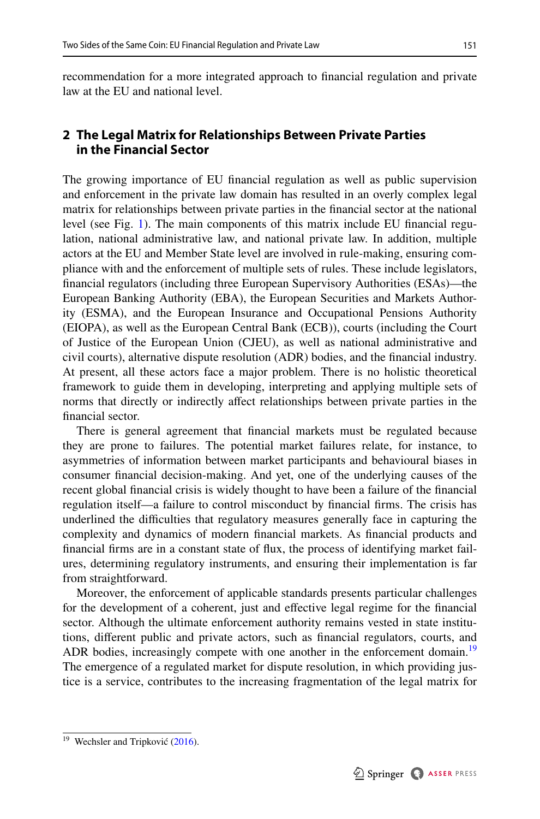recommendation for a more integrated approach to fnancial regulation and private law at the EU and national level.

# <span id="page-4-0"></span>**2 The Legal Matrix for Relationships Between Private Parties in the Financial Sector**

The growing importance of EU fnancial regulation as well as public supervision and enforcement in the private law domain has resulted in an overly complex legal matrix for relationships between private parties in the fnancial sector at the national level (see Fig. [1](#page-6-1)). The main components of this matrix include EU fnancial regulation, national administrative law, and national private law. In addition, multiple actors at the EU and Member State level are involved in rule-making, ensuring compliance with and the enforcement of multiple sets of rules. These include legislators, fnancial regulators (including three European Supervisory Authorities (ESAs)—the European Banking Authority (EBA), the European Securities and Markets Authority (ESMA), and the European Insurance and Occupational Pensions Authority (EIOPA), as well as the European Central Bank (ECB)), courts (including the Court of Justice of the European Union (CJEU), as well as national administrative and civil courts), alternative dispute resolution (ADR) bodies, and the fnancial industry. At present, all these actors face a major problem. There is no holistic theoretical framework to guide them in developing, interpreting and applying multiple sets of norms that directly or indirectly afect relationships between private parties in the fnancial sector.

There is general agreement that fnancial markets must be regulated because they are prone to failures. The potential market failures relate, for instance, to asymmetries of information between market participants and behavioural biases in consumer fnancial decision-making. And yet, one of the underlying causes of the recent global fnancial crisis is widely thought to have been a failure of the fnancial regulation itself—a failure to control misconduct by fnancial frms. The crisis has underlined the difficulties that regulatory measures generally face in capturing the complexity and dynamics of modern fnancial markets. As fnancial products and fnancial frms are in a constant state of fux, the process of identifying market failures, determining regulatory instruments, and ensuring their implementation is far from straightforward.

Moreover, the enforcement of applicable standards presents particular challenges for the development of a coherent, just and efective legal regime for the fnancial sector. Although the ultimate enforcement authority remains vested in state institutions, diferent public and private actors, such as fnancial regulators, courts, and ADR bodies, increasingly compete with one another in the enforcement domain.<sup>[19](#page-4-1)</sup> The emergence of a regulated market for dispute resolution, in which providing justice is a service, contributes to the increasing fragmentation of the legal matrix for

<span id="page-4-1"></span><sup>&</sup>lt;sup>19</sup> Wechsler and Tripković  $(2016)$  $(2016)$ .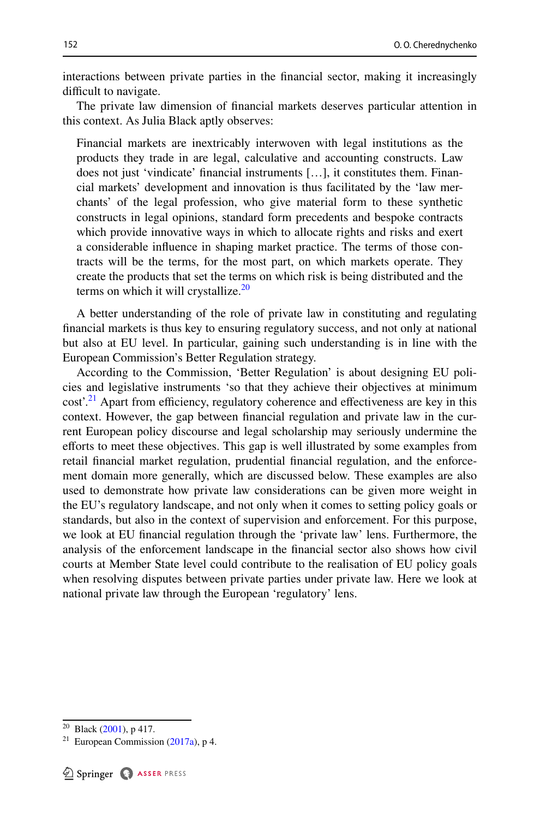interactions between private parties in the fnancial sector, making it increasingly difficult to navigate.

The private law dimension of fnancial markets deserves particular attention in this context. As Julia Black aptly observes:

Financial markets are inextricably interwoven with legal institutions as the products they trade in are legal, calculative and accounting constructs. Law does not just 'vindicate' fnancial instruments […], it constitutes them. Financial markets' development and innovation is thus facilitated by the 'law merchants' of the legal profession, who give material form to these synthetic constructs in legal opinions, standard form precedents and bespoke contracts which provide innovative ways in which to allocate rights and risks and exert a considerable infuence in shaping market practice. The terms of those contracts will be the terms, for the most part, on which markets operate. They create the products that set the terms on which risk is being distributed and the terms on which it will crystallize. $20$ 

A better understanding of the role of private law in constituting and regulating fnancial markets is thus key to ensuring regulatory success, and not only at national but also at EU level. In particular, gaining such understanding is in line with the European Commission's Better Regulation strategy.

According to the Commission, 'Better Regulation' is about designing EU policies and legislative instruments 'so that they achieve their objectives at minimum  $cost<sup>21</sup>$  Apart from efficiency, regulatory coherence and effectiveness are key in this context. However, the gap between fnancial regulation and private law in the current European policy discourse and legal scholarship may seriously undermine the efforts to meet these objectives. This gap is well illustrated by some examples from retail fnancial market regulation, prudential fnancial regulation, and the enforcement domain more generally, which are discussed below. These examples are also used to demonstrate how private law considerations can be given more weight in the EU's regulatory landscape, and not only when it comes to setting policy goals or standards, but also in the context of supervision and enforcement. For this purpose, we look at EU fnancial regulation through the 'private law' lens. Furthermore, the analysis of the enforcement landscape in the fnancial sector also shows how civil courts at Member State level could contribute to the realisation of EU policy goals when resolving disputes between private parties under private law. Here we look at national private law through the European 'regulatory' lens.

<span id="page-5-0"></span><sup>&</sup>lt;sup>20</sup> Black ([2001\)](#page-22-6), p 417.

<span id="page-5-1"></span><sup>&</sup>lt;sup>21</sup> European Commission [\(2017a\)](#page-23-3), p 4.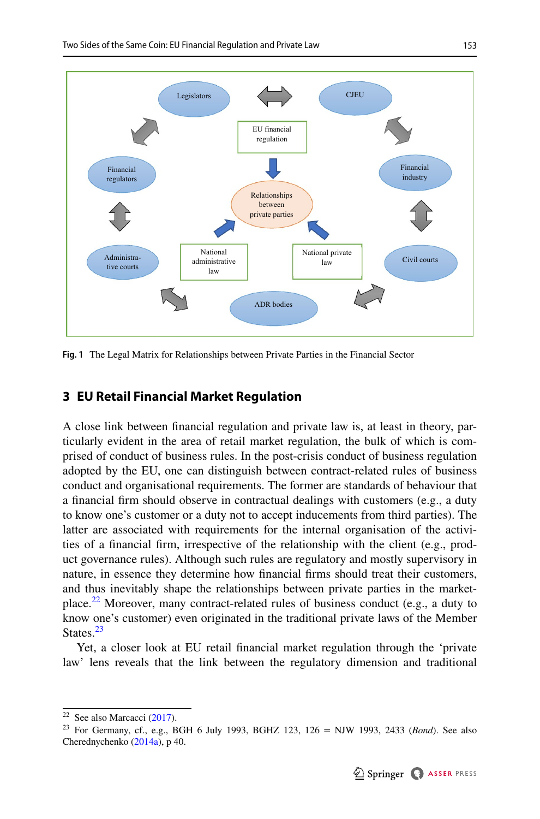

<span id="page-6-1"></span>**Fig. 1** The Legal Matrix for Relationships between Private Parties in the Financial Sector

## <span id="page-6-0"></span>**3 EU Retail Financial Market Regulation**

A close link between fnancial regulation and private law is, at least in theory, particularly evident in the area of retail market regulation, the bulk of which is comprised of conduct of business rules. In the post-crisis conduct of business regulation adopted by the EU, one can distinguish between contract-related rules of business conduct and organisational requirements. The former are standards of behaviour that a fnancial frm should observe in contractual dealings with customers (e.g., a duty to know one's customer or a duty not to accept inducements from third parties). The latter are associated with requirements for the internal organisation of the activities of a fnancial frm, irrespective of the relationship with the client (e.g., product governance rules). Although such rules are regulatory and mostly supervisory in nature, in essence they determine how fnancial frms should treat their customers, and thus inevitably shape the relationships between private parties in the marketplace.<sup>22</sup> Moreover, many contract-related rules of business conduct (e.g., a duty to know one's customer) even originated in the traditional private laws of the Member States.<sup>[23](#page-6-3)</sup>

Yet, a closer look at EU retail fnancial market regulation through the 'private law' lens reveals that the link between the regulatory dimension and traditional

<span id="page-6-2"></span> $22$  See also Marcacci [\(2017](#page-24-5)).

<span id="page-6-3"></span><sup>23</sup> For Germany, cf., e.g., BGH 6 July 1993, BGHZ 123, 126 = NJW 1993, 2433 (*Bond*). See also Cherednychenko [\(2014a\)](#page-22-0), p 40.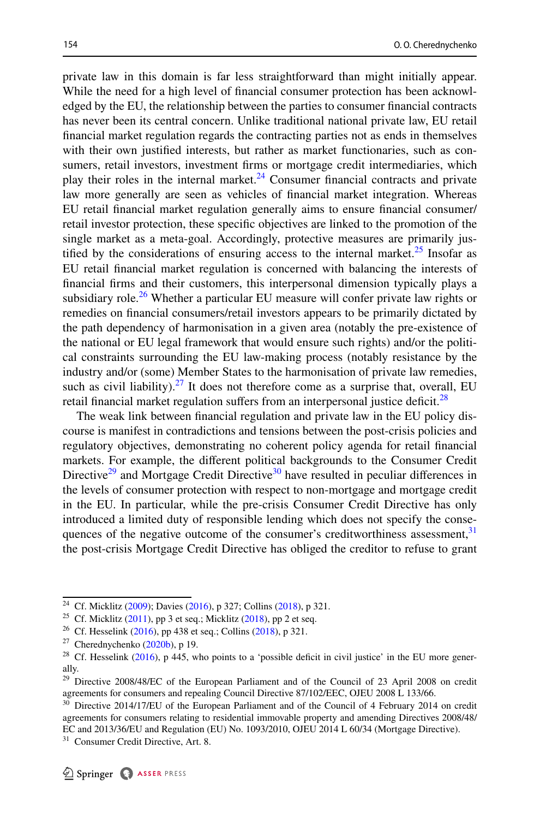private law in this domain is far less straightforward than might initially appear. While the need for a high level of fnancial consumer protection has been acknowledged by the EU, the relationship between the parties to consumer fnancial contracts has never been its central concern. Unlike traditional national private law, EU retail fnancial market regulation regards the contracting parties not as ends in themselves with their own justifed interests, but rather as market functionaries, such as consumers, retail investors, investment frms or mortgage credit intermediaries, which play their roles in the internal market. $24$  Consumer financial contracts and private law more generally are seen as vehicles of fnancial market integration. Whereas EU retail fnancial market regulation generally aims to ensure fnancial consumer/ retail investor protection, these specifc objectives are linked to the promotion of the single market as a meta-goal. Accordingly, protective measures are primarily justified by the considerations of ensuring access to the internal market.<sup>25</sup> Insofar as EU retail fnancial market regulation is concerned with balancing the interests of fnancial frms and their customers, this interpersonal dimension typically plays a subsidiary role.<sup>[26](#page-7-2)</sup> Whether a particular EU measure will confer private law rights or remedies on fnancial consumers/retail investors appears to be primarily dictated by the path dependency of harmonisation in a given area (notably the pre-existence of the national or EU legal framework that would ensure such rights) and/or the political constraints surrounding the EU law-making process (notably resistance by the industry and/or (some) Member States to the harmonisation of private law remedies, such as civil liability). $27$  It does not therefore come as a surprise that, overall, EU retail financial market regulation suffers from an interpersonal justice deficit.<sup>[28](#page-7-4)</sup>

The weak link between fnancial regulation and private law in the EU policy discourse is manifest in contradictions and tensions between the post-crisis policies and regulatory objectives, demonstrating no coherent policy agenda for retail fnancial markets. For example, the diferent political backgrounds to the Consumer Credit Directive $29$  and Mortgage Credit Directive $30$  have resulted in peculiar differences in the levels of consumer protection with respect to non-mortgage and mortgage credit in the EU. In particular, while the pre-crisis Consumer Credit Directive has only introduced a limited duty of responsible lending which does not specify the consequences of the negative outcome of the consumer's creditworthiness assessment,<sup>31</sup> the post-crisis Mortgage Credit Directive has obliged the creditor to refuse to grant

<span id="page-7-0"></span><sup>24</sup> Cf. Micklitz [\(2009](#page-24-4)); Davies ([2016\)](#page-23-4), p 327; Collins [\(2018](#page-23-5)), p 321.

<span id="page-7-1"></span><sup>&</sup>lt;sup>25</sup> Cf. Micklitz [\(2011](#page-24-6)), pp 3 et seq.; Micklitz [\(2018](#page-24-7)), pp 2 et seq.

<span id="page-7-2"></span><sup>&</sup>lt;sup>26</sup> Cf. Hesselink ([2016\)](#page-24-8), pp 438 et seq.; Collins ([2018\)](#page-23-5), p 321.

<span id="page-7-3"></span> $27$  Cherednychenko ([2020b\)](#page-23-6), p 19.

<span id="page-7-4"></span><sup>&</sup>lt;sup>28</sup> Cf. Hesselink ([2016\)](#page-24-8), p 445, who points to a 'possible deficit in civil justice' in the EU more generally.

<span id="page-7-5"></span><sup>&</sup>lt;sup>29</sup> Directive 2008/48/EC of the European Parliament and of the Council of 23 April 2008 on credit agreements for consumers and repealing Council Directive 87/102/EEC, OJEU 2008 L 133/66.

<span id="page-7-6"></span><sup>&</sup>lt;sup>30</sup> Directive 2014/17/EU of the European Parliament and of the Council of 4 February 2014 on credit agreements for consumers relating to residential immovable property and amending Directives 2008/48/ EC and 2013/36/EU and Regulation (EU) No. 1093/2010, OJEU 2014 L 60/34 (Mortgage Directive).

<span id="page-7-7"></span><sup>&</sup>lt;sup>31</sup> Consumer Credit Directive, Art. 8.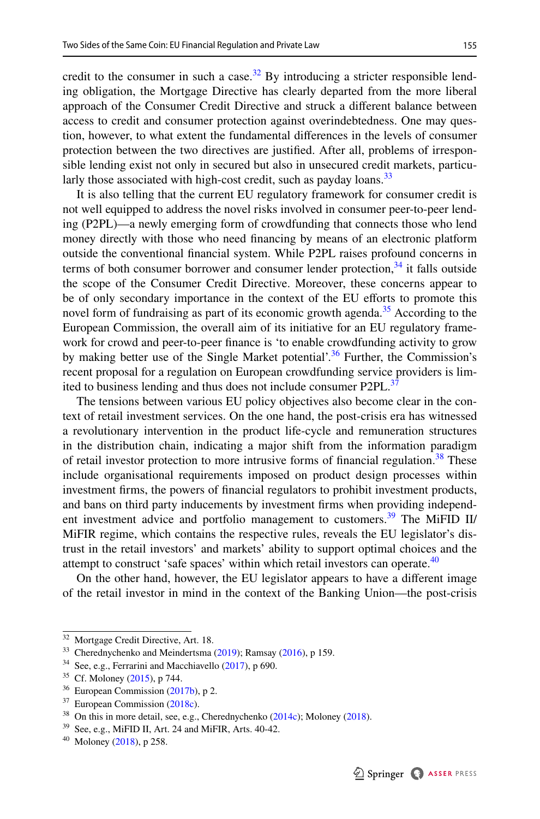credit to the consumer in such a case.<sup>32</sup> By introducing a stricter responsible lending obligation, the Mortgage Directive has clearly departed from the more liberal approach of the Consumer Credit Directive and struck a diferent balance between access to credit and consumer protection against overindebtedness. One may question, however, to what extent the fundamental diferences in the levels of consumer protection between the two directives are justifed. After all, problems of irresponsible lending exist not only in secured but also in unsecured credit markets, particu-larly those associated with high-cost credit, such as payday loans.<sup>[33](#page-8-1)</sup>

It is also telling that the current EU regulatory framework for consumer credit is not well equipped to address the novel risks involved in consumer peer-to-peer lending (P2PL)—a newly emerging form of crowdfunding that connects those who lend money directly with those who need fnancing by means of an electronic platform outside the conventional fnancial system. While P2PL raises profound concerns in terms of both consumer borrower and consumer lender protection,  $34$  it falls outside the scope of the Consumer Credit Directive. Moreover, these concerns appear to be of only secondary importance in the context of the EU eforts to promote this novel form of fundraising as part of its economic growth agenda.<sup>[35](#page-8-3)</sup> According to the European Commission, the overall aim of its initiative for an EU regulatory framework for crowd and peer-to-peer fnance is 'to enable crowdfunding activity to grow by making better use of the Single Market potential'.<sup>36</sup> Further, the Commission's recent proposal for a regulation on European crowdfunding service providers is lim-ited to business lending and thus does not include consumer P2PL.<sup>[37](#page-8-5)</sup>

The tensions between various EU policy objectives also become clear in the context of retail investment services. On the one hand, the post-crisis era has witnessed a revolutionary intervention in the product life-cycle and remuneration structures in the distribution chain, indicating a major shift from the information paradigm of retail investor protection to more intrusive forms of financial regulation.<sup>38</sup> These include organisational requirements imposed on product design processes within investment frms, the powers of fnancial regulators to prohibit investment products, and bans on third party inducements by investment frms when providing independent investment advice and portfolio management to customers.<sup>39</sup> The MiFID II/ MiFIR regime, which contains the respective rules, reveals the EU legislator's distrust in the retail investors' and markets' ability to support optimal choices and the attempt to construct 'safe spaces' within which retail investors can operate.<sup>40</sup>

On the other hand, however, the EU legislator appears to have a diferent image of the retail investor in mind in the context of the Banking Union—the post-crisis

<span id="page-8-0"></span><sup>&</sup>lt;sup>32</sup> Mortgage Credit Directive, Art. 18.

<span id="page-8-1"></span><sup>&</sup>lt;sup>33</sup> Cherednychenko and Meindertsma ([2019\)](#page-23-8); Ramsay ([2016\)](#page-25-4), p 159.

<span id="page-8-2"></span> $34$  See, e.g., Ferrarini and Macchiavello [\(2017](#page-24-11)), p 690.

<span id="page-8-3"></span><sup>35</sup> Cf. Moloney [\(2015](#page-24-9)), p 744.

<span id="page-8-4"></span> $36$  European Commission [\(2017b](#page-23-7)), p 2.

<span id="page-8-5"></span><sup>37</sup> European Commission [\(2018c\)](#page-24-10).

<span id="page-8-6"></span><sup>&</sup>lt;sup>38</sup> On this in more detail, see, e.g., Cherednychenko [\(2014c](#page-22-7)); Moloney [\(2018](#page-25-3)).

<span id="page-8-7"></span><sup>39</sup> See, e.g., MiFID II, Art. 24 and MiFIR, Arts. 40-42.

<span id="page-8-8"></span><sup>40</sup> Moloney [\(2018](#page-25-3)), p 258.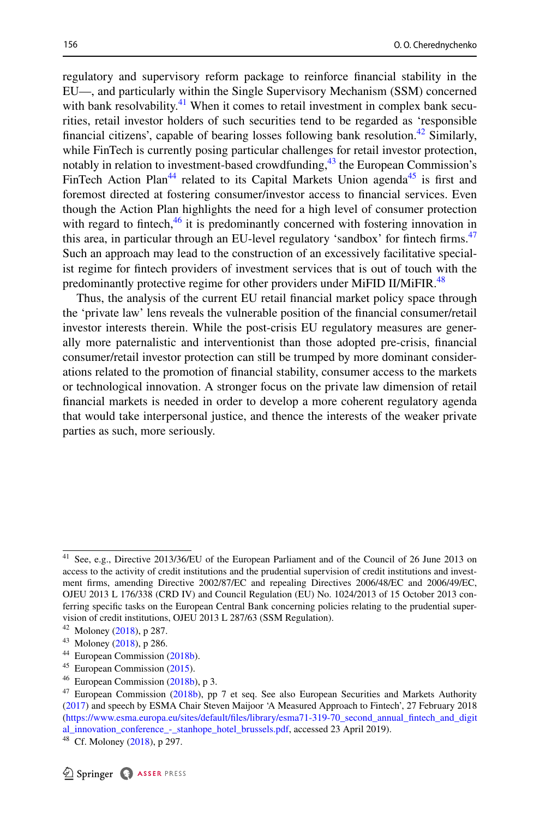regulatory and supervisory reform package to reinforce fnancial stability in the EU—, and particularly within the Single Supervisory Mechanism (SSM) concerned with bank resolvability.<sup>41</sup> When it comes to retail investment in complex bank securities, retail investor holders of such securities tend to be regarded as 'responsible financial citizens', capable of bearing losses following bank resolution.<sup>42</sup> Similarly, while FinTech is currently posing particular challenges for retail investor protection, notably in relation to investment-based crowdfunding,  $^{43}$  the European Commission's FinTech Action Plan<sup>44</sup> related to its Capital Markets Union agenda<sup>45</sup> is first and foremost directed at fostering consumer/investor access to fnancial services. Even though the Action Plan highlights the need for a high level of consumer protection with regard to fintech, $^{46}$  $^{46}$  $^{46}$  it is predominantly concerned with fostering innovation in this area, in particular through an EU-level regulatory 'sandbox' for fintech firms.<sup>[47](#page-9-6)</sup> Such an approach may lead to the construction of an excessively facilitative specialist regime for fntech providers of investment services that is out of touch with the predominantly protective regime for other providers under MiFID II/MiFIR.<sup>[48](#page-9-7)</sup>

Thus, the analysis of the current EU retail fnancial market policy space through the 'private law' lens reveals the vulnerable position of the fnancial consumer/retail investor interests therein. While the post-crisis EU regulatory measures are generally more paternalistic and interventionist than those adopted pre-crisis, fnancial consumer/retail investor protection can still be trumped by more dominant considerations related to the promotion of fnancial stability, consumer access to the markets or technological innovation. A stronger focus on the private law dimension of retail fnancial markets is needed in order to develop a more coherent regulatory agenda that would take interpersonal justice, and thence the interests of the weaker private parties as such, more seriously.

<span id="page-9-0"></span><sup>41</sup> See, e.g., Directive 2013/36/EU of the European Parliament and of the Council of 26 June 2013 on access to the activity of credit institutions and the prudential supervision of credit institutions and investment frms, amending Directive 2002/87/EC and repealing Directives 2006/48/EC and 2006/49/EC, OJEU 2013 L 176/338 (CRD IV) and Council Regulation (EU) No. 1024/2013 of 15 October 2013 conferring specifc tasks on the European Central Bank concerning policies relating to the prudential supervision of credit institutions, OJEU 2013 L 287/63 (SSM Regulation).

<span id="page-9-1"></span> $42$  Moloney [\(2018](#page-25-3)), p 287.

<span id="page-9-2"></span><sup>43</sup> Moloney [\(2018](#page-25-3)), p 286.

<span id="page-9-3"></span><sup>44</sup> European Commission [\(2018b](#page-24-12)).

<span id="page-9-4"></span><sup>45</sup> European Commission [\(2015](#page-23-9)).

<span id="page-9-5"></span> $46$  European Commission [\(2018b](#page-24-12)), p 3.

<span id="page-9-6"></span><sup>&</sup>lt;sup>47</sup> European Commission [\(2018b](#page-24-12)), pp 7 et seq. See also European Securities and Markets Authority ([2017\)](#page-24-13) and speech by ESMA Chair Steven Maijoor 'A Measured Approach to Fintech', 27 February 2018 ([https://www.esma.europa.eu/sites/default/fles/library/esma71-319-70\\_second\\_annual\\_fntech\\_and\\_digit](https://www.esma.europa.eu/sites/default/files/library/esma71-319-70_second_annual_fintech_and_digital_innovation_conference_-_stanhope_hotel_brussels.pdf) [al\\_innovation\\_conference\\_-\\_stanhope\\_hotel\\_brussels.pdf](https://www.esma.europa.eu/sites/default/files/library/esma71-319-70_second_annual_fintech_and_digital_innovation_conference_-_stanhope_hotel_brussels.pdf), accessed 23 April 2019).

<span id="page-9-7"></span> $48$  Cf. Moloney [\(2018](#page-25-3)), p 297.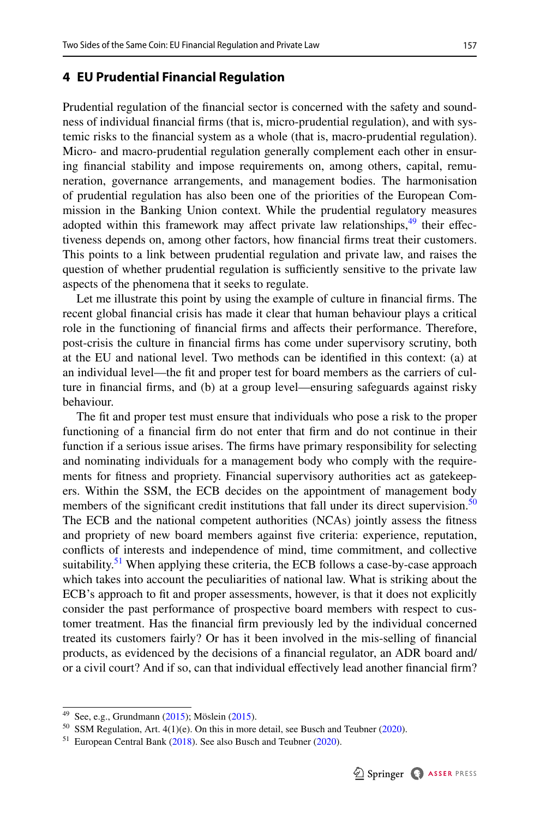#### <span id="page-10-0"></span>**4 EU Prudential Financial Regulation**

Prudential regulation of the fnancial sector is concerned with the safety and soundness of individual fnancial frms (that is, micro-prudential regulation), and with systemic risks to the fnancial system as a whole (that is, macro-prudential regulation). Micro- and macro-prudential regulation generally complement each other in ensuring fnancial stability and impose requirements on, among others, capital, remuneration, governance arrangements, and management bodies. The harmonisation of prudential regulation has also been one of the priorities of the European Commission in the Banking Union context. While the prudential regulatory measures adopted within this framework may affect private law relationships,  $49$  their effectiveness depends on, among other factors, how fnancial frms treat their customers. This points to a link between prudential regulation and private law, and raises the question of whether prudential regulation is sufficiently sensitive to the private law aspects of the phenomena that it seeks to regulate.

Let me illustrate this point by using the example of culture in fnancial frms. The recent global fnancial crisis has made it clear that human behaviour plays a critical role in the functioning of fnancial frms and afects their performance. Therefore, post-crisis the culture in fnancial frms has come under supervisory scrutiny, both at the EU and national level. Two methods can be identifed in this context: (a) at an individual level—the ft and proper test for board members as the carriers of culture in fnancial frms, and (b) at a group level—ensuring safeguards against risky behaviour.

The ft and proper test must ensure that individuals who pose a risk to the proper functioning of a fnancial frm do not enter that frm and do not continue in their function if a serious issue arises. The frms have primary responsibility for selecting and nominating individuals for a management body who comply with the requirements for ftness and propriety. Financial supervisory authorities act as gatekeepers. Within the SSM, the ECB decides on the appointment of management body members of the significant credit institutions that fall under its direct supervision.<sup>50</sup> The ECB and the national competent authorities (NCAs) jointly assess the ftness and propriety of new board members against fve criteria: experience, reputation, conficts of interests and independence of mind, time commitment, and collective suitability.<sup>51</sup> When applying these criteria, the ECB follows a case-by-case approach which takes into account the peculiarities of national law. What is striking about the ECB's approach to ft and proper assessments, however, is that it does not explicitly consider the past performance of prospective board members with respect to customer treatment. Has the fnancial frm previously led by the individual concerned treated its customers fairly? Or has it been involved in the mis-selling of fnancial products, as evidenced by the decisions of a fnancial regulator, an ADR board and/ or a civil court? And if so, can that individual efectively lead another fnancial frm?

<span id="page-10-1"></span><sup>49</sup> See, e.g., Grundmann ([2015\)](#page-24-14); Möslein ([2015\)](#page-25-5).

<span id="page-10-2"></span><sup>50</sup> SSM Regulation, Art. 4(1)(e). On this in more detail, see Busch and Teubner [\(2020](#page-22-8)).

<span id="page-10-3"></span><sup>&</sup>lt;sup>51</sup> European Central Bank [\(2018](#page-23-10)). See also Busch and Teubner ([2020\)](#page-22-8).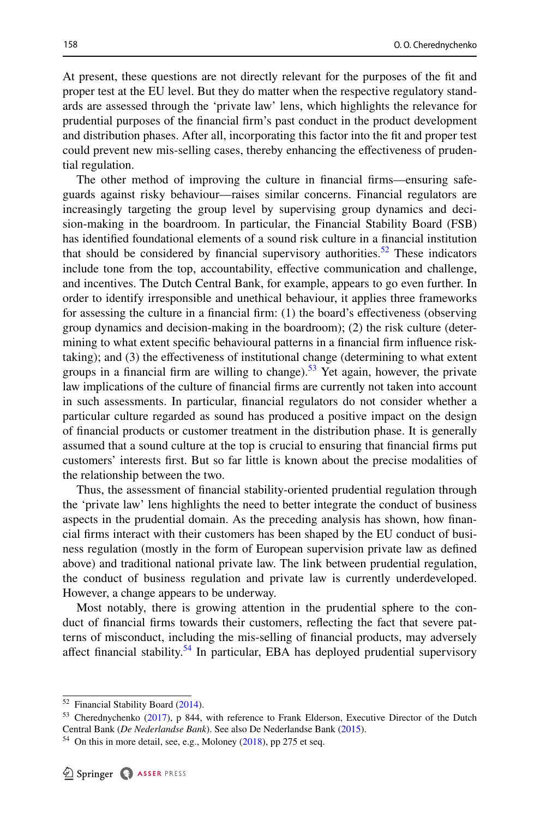At present, these questions are not directly relevant for the purposes of the ft and proper test at the EU level. But they do matter when the respective regulatory standards are assessed through the 'private law' lens, which highlights the relevance for prudential purposes of the fnancial frm's past conduct in the product development and distribution phases. After all, incorporating this factor into the ft and proper test could prevent new mis-selling cases, thereby enhancing the efectiveness of prudential regulation.

The other method of improving the culture in fnancial frms—ensuring safeguards against risky behaviour—raises similar concerns. Financial regulators are increasingly targeting the group level by supervising group dynamics and decision-making in the boardroom. In particular, the Financial Stability Board (FSB) has identifed foundational elements of a sound risk culture in a fnancial institution that should be considered by financial supervisory authorities.<sup>52</sup> These indicators include tone from the top, accountability, efective communication and challenge, and incentives. The Dutch Central Bank, for example, appears to go even further. In order to identify irresponsible and unethical behaviour, it applies three frameworks for assessing the culture in a fnancial frm: (1) the board's efectiveness (observing group dynamics and decision-making in the boardroom); (2) the risk culture (determining to what extent specifc behavioural patterns in a fnancial frm infuence risktaking); and (3) the efectiveness of institutional change (determining to what extent groups in a financial firm are willing to change).<sup>53</sup> Yet again, however, the private law implications of the culture of fnancial frms are currently not taken into account in such assessments. In particular, fnancial regulators do not consider whether a particular culture regarded as sound has produced a positive impact on the design of fnancial products or customer treatment in the distribution phase. It is generally assumed that a sound culture at the top is crucial to ensuring that fnancial frms put customers' interests frst. But so far little is known about the precise modalities of the relationship between the two.

Thus, the assessment of fnancial stability-oriented prudential regulation through the 'private law' lens highlights the need to better integrate the conduct of business aspects in the prudential domain. As the preceding analysis has shown, how fnancial frms interact with their customers has been shaped by the EU conduct of business regulation (mostly in the form of European supervision private law as defned above) and traditional national private law. The link between prudential regulation, the conduct of business regulation and private law is currently underdeveloped. However, a change appears to be underway.

Most notably, there is growing attention in the prudential sphere to the conduct of fnancial frms towards their customers, refecting the fact that severe patterns of misconduct, including the mis-selling of fnancial products, may adversely affect financial stability.<sup>[54](#page-11-2)</sup> In particular, EBA has deployed prudential supervisory

<span id="page-11-0"></span><sup>52</sup> Financial Stability Board ([2014\)](#page-24-15).

<span id="page-11-1"></span><sup>53</sup> Cherednychenko ([2017\)](#page-23-11), p 844, with reference to Frank Elderson, Executive Director of the Dutch Central Bank (*De Nederlandse Bank*). See also De Nederlandse Bank ([2015\)](#page-23-12).

<span id="page-11-2"></span><sup>&</sup>lt;sup>54</sup> On this in more detail, see, e.g., Moloney ([2018\)](#page-25-3), pp 275 et seq.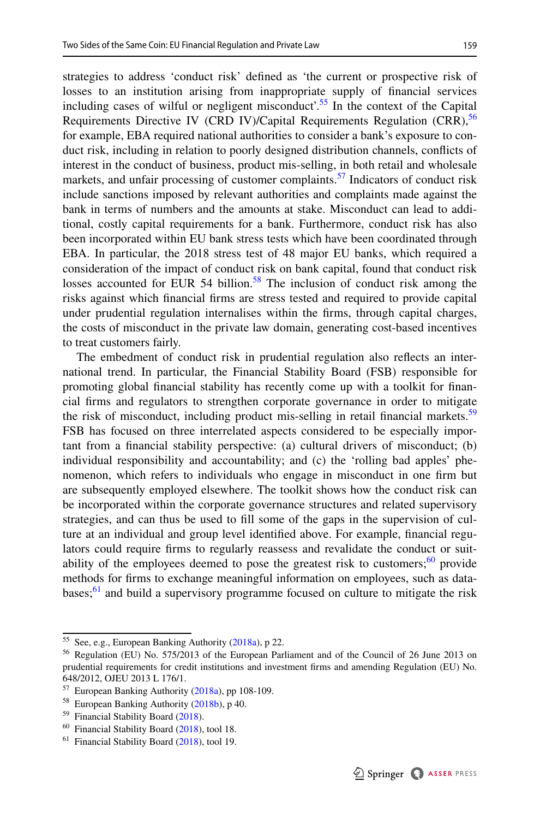strategies to address 'conduct risk' defned as 'the current or prospective risk of losses to an institution arising from inappropriate supply of fnancial services including cases of wilful or negligent misconduct'[.55](#page-12-0) In the context of the Capital Requirements Directive IV (CRD IV)/Capital Requirements Regulation (CRR),  $56$ for example, EBA required national authorities to consider a bank's exposure to conduct risk, including in relation to poorly designed distribution channels, conficts of interest in the conduct of business, product mis-selling, in both retail and wholesale markets, and unfair processing of customer complaints.<sup>57</sup> Indicators of conduct risk include sanctions imposed by relevant authorities and complaints made against the bank in terms of numbers and the amounts at stake. Misconduct can lead to additional, costly capital requirements for a bank. Furthermore, conduct risk has also been incorporated within EU bank stress tests which have been coordinated through EBA. In particular, the 2018 stress test of 48 major EU banks, which required a consideration of the impact of conduct risk on bank capital, found that conduct risk losses accounted for EUR 54 billion.<sup>58</sup> The inclusion of conduct risk among the risks against which fnancial frms are stress tested and required to provide capital under prudential regulation internalises within the frms, through capital charges, the costs of misconduct in the private law domain, generating cost-based incentives to treat customers fairly.

The embedment of conduct risk in prudential regulation also refects an international trend. In particular, the Financial Stability Board (FSB) responsible for promoting global fnancial stability has recently come up with a toolkit for fnancial frms and regulators to strengthen corporate governance in order to mitigate the risk of misconduct, including product mis-selling in retail financial markets.<sup>[59](#page-12-4)</sup> FSB has focused on three interrelated aspects considered to be especially important from a fnancial stability perspective: (a) cultural drivers of misconduct; (b) individual responsibility and accountability; and (c) the 'rolling bad apples' phenomenon, which refers to individuals who engage in misconduct in one frm but are subsequently employed elsewhere. The toolkit shows how the conduct risk can be incorporated within the corporate governance structures and related supervisory strategies, and can thus be used to fll some of the gaps in the supervision of culture at an individual and group level identifed above. For example, fnancial regulators could require frms to regularly reassess and revalidate the conduct or suitability of the employees deemed to pose the greatest risk to customers; $\frac{60}{10}$  $\frac{60}{10}$  $\frac{60}{10}$  provide methods for frms to exchange meaningful information on employees, such as databases; $\frac{61}{1}$  $\frac{61}{1}$  $\frac{61}{1}$  and build a supervisory programme focused on culture to mitigate the risk

<span id="page-12-0"></span><sup>55</sup> See, e.g., European Banking Authority [\(2018a\)](#page-23-13), p 22.

<span id="page-12-1"></span><sup>56</sup> Regulation (EU) No. 575/2013 of the European Parliament and of the Council of 26 June 2013 on prudential requirements for credit institutions and investment frms and amending Regulation (EU) No. 648/2012, OJEU 2013 L 176/1.

<span id="page-12-2"></span><sup>57</sup> European Banking Authority [\(2018a\)](#page-23-13), pp 108-109.

<span id="page-12-3"></span><sup>58</sup> European Banking Authority [\(2018b](#page-23-14)), p 40.

<span id="page-12-4"></span><sup>&</sup>lt;sup>59</sup> Financial Stability Board ([2018\)](#page-24-16).

<span id="page-12-5"></span><sup>60</sup> Financial Stability Board ([2018\)](#page-24-16), tool 18.

<span id="page-12-6"></span><sup>&</sup>lt;sup>61</sup> Financial Stability Board ([2018\)](#page-24-16), tool 19.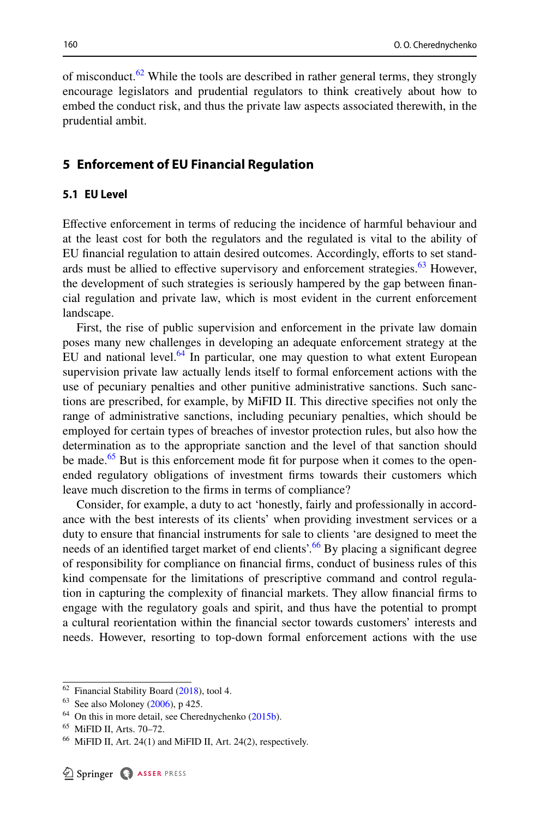of misconduct. $62$  While the tools are described in rather general terms, they strongly encourage legislators and prudential regulators to think creatively about how to embed the conduct risk, and thus the private law aspects associated therewith, in the prudential ambit.

### <span id="page-13-0"></span>**5 Enforcement of EU Financial Regulation**

### **5.1 EU Level**

Efective enforcement in terms of reducing the incidence of harmful behaviour and at the least cost for both the regulators and the regulated is vital to the ability of EU fnancial regulation to attain desired outcomes. Accordingly, eforts to set standards must be allied to effective supervisory and enforcement strategies. $63$  However, the development of such strategies is seriously hampered by the gap between fnancial regulation and private law, which is most evident in the current enforcement landscape.

First, the rise of public supervision and enforcement in the private law domain poses many new challenges in developing an adequate enforcement strategy at the EU and national level. $64$  In particular, one may question to what extent European supervision private law actually lends itself to formal enforcement actions with the use of pecuniary penalties and other punitive administrative sanctions. Such sanctions are prescribed, for example, by MiFID II. This directive specifes not only the range of administrative sanctions, including pecuniary penalties, which should be employed for certain types of breaches of investor protection rules, but also how the determination as to the appropriate sanction and the level of that sanction should be made.<sup>[65](#page-13-4)</sup> But is this enforcement mode fit for purpose when it comes to the openended regulatory obligations of investment frms towards their customers which leave much discretion to the frms in terms of compliance?

Consider, for example, a duty to act 'honestly, fairly and professionally in accordance with the best interests of its clients' when providing investment services or a duty to ensure that fnancial instruments for sale to clients 'are designed to meet the needs of an identified target market of end clients'.<sup>[66](#page-13-5)</sup> By placing a significant degree of responsibility for compliance on fnancial frms, conduct of business rules of this kind compensate for the limitations of prescriptive command and control regulation in capturing the complexity of fnancial markets. They allow fnancial frms to engage with the regulatory goals and spirit, and thus have the potential to prompt a cultural reorientation within the fnancial sector towards customers' interests and needs. However, resorting to top-down formal enforcement actions with the use

<span id="page-13-1"></span> $62$  Financial Stability Board ([2018\)](#page-24-16), tool 4.

<span id="page-13-2"></span><sup>63</sup> See also Moloney [\(2006](#page-24-17)), p 425.

<span id="page-13-3"></span> $64$  On this in more detail, see Cherednychenko  $(2015b)$  $(2015b)$ .

<span id="page-13-4"></span><sup>65</sup> MiFID II, Arts. 70–72.

<span id="page-13-5"></span> $66$  MiFID II, Art. 24(1) and MiFID II, Art. 24(2), respectively.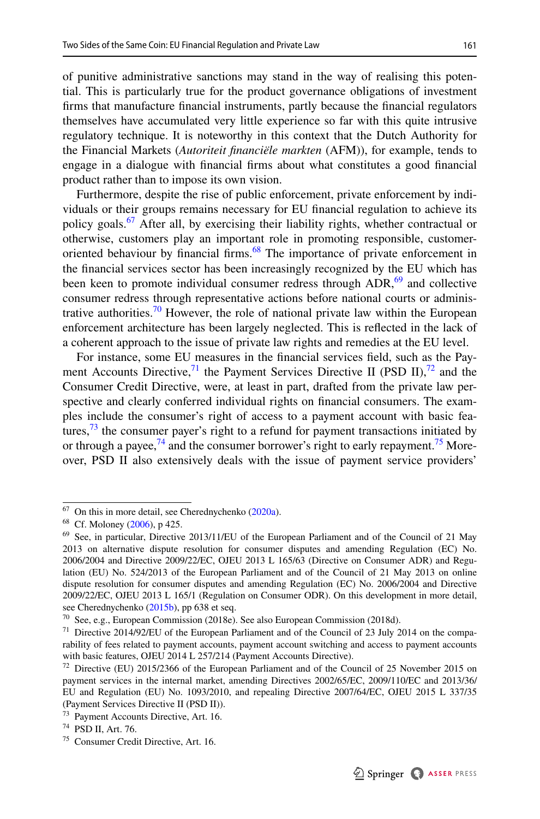of punitive administrative sanctions may stand in the way of realising this potential. This is particularly true for the product governance obligations of investment frms that manufacture fnancial instruments, partly because the fnancial regulators themselves have accumulated very little experience so far with this quite intrusive regulatory technique. It is noteworthy in this context that the Dutch Authority for the Financial Markets (*Autoriteit fnanciële markten* (AFM)), for example, tends to engage in a dialogue with fnancial frms about what constitutes a good fnancial product rather than to impose its own vision.

Furthermore, despite the rise of public enforcement, private enforcement by individuals or their groups remains necessary for EU fnancial regulation to achieve its policy goals.<sup>[67](#page-14-0)</sup> After all, by exercising their liability rights, whether contractual or otherwise, customers play an important role in promoting responsible, customeroriented behaviour by financial firms.<sup>68</sup> The importance of private enforcement in the fnancial services sector has been increasingly recognized by the EU which has been keen to promote individual consumer redress through  $ADR$ ,<sup>[69](#page-14-2)</sup> and collective consumer redress through representative actions before national courts or administrative authorities.<sup>70</sup> However, the role of national private law within the European enforcement architecture has been largely neglected. This is refected in the lack of a coherent approach to the issue of private law rights and remedies at the EU level.

For instance, some EU measures in the fnancial services feld, such as the Payment Accounts Directive,  $^{71}$  the Payment Services Directive II (PSD II),  $^{72}$  and the Consumer Credit Directive, were, at least in part, drafted from the private law perspective and clearly conferred individual rights on fnancial consumers. The examples include the consumer's right of access to a payment account with basic features, $73$  the consumer payer's right to a refund for payment transactions initiated by or through a payee,  $^{74}$  and the consumer borrower's right to early repayment.<sup>75</sup> Moreover, PSD II also extensively deals with the issue of payment service providers'

<span id="page-14-0"></span> $67$  On this in more detail, see Cherednychenko ([2020a](#page-23-15)).

<span id="page-14-1"></span><sup>68</sup> Cf. Moloney [\(2006](#page-24-17)), p 425.

<span id="page-14-2"></span><sup>69</sup> See, in particular, Directive 2013/11/EU of the European Parliament and of the Council of 21 May 2013 on alternative dispute resolution for consumer disputes and amending Regulation (EC) No. 2006/2004 and Directive 2009/22/EC, OJEU 2013 L 165/63 (Directive on Consumer ADR) and Regulation (EU) No. 524/2013 of the European Parliament and of the Council of 21 May 2013 on online dispute resolution for consumer disputes and amending Regulation (EC) No. 2006/2004 and Directive 2009/22/EC, OJEU 2013 L 165/1 (Regulation on Consumer ODR). On this development in more detail, see Cherednychenko [\(2015b](#page-22-9)), pp 638 et seq.

<span id="page-14-3"></span><sup>70</sup> See, e.g., European Commission (2018e). See also European Commission (2018d).

<span id="page-14-4"></span><sup>&</sup>lt;sup>71</sup> Directive 2014/92/EU of the European Parliament and of the Council of 23 July 2014 on the comparability of fees related to payment accounts, payment account switching and access to payment accounts with basic features, OJEU 2014 L 257/214 (Payment Accounts Directive).

<span id="page-14-5"></span> $72$  Directive (EU) 2015/2366 of the European Parliament and of the Council of 25 November 2015 on payment services in the internal market, amending Directives 2002/65/EC, 2009/110/EC and 2013/36/ EU and Regulation (EU) No. 1093/2010, and repealing Directive 2007/64/EC, OJEU 2015 L 337/35 (Payment Services Directive II (PSD II)).

<span id="page-14-6"></span><sup>73</sup> Payment Accounts Directive, Art. 16.

<span id="page-14-7"></span><sup>74</sup> PSD II, Art. 76.

<span id="page-14-8"></span><sup>75</sup> Consumer Credit Directive, Art. 16.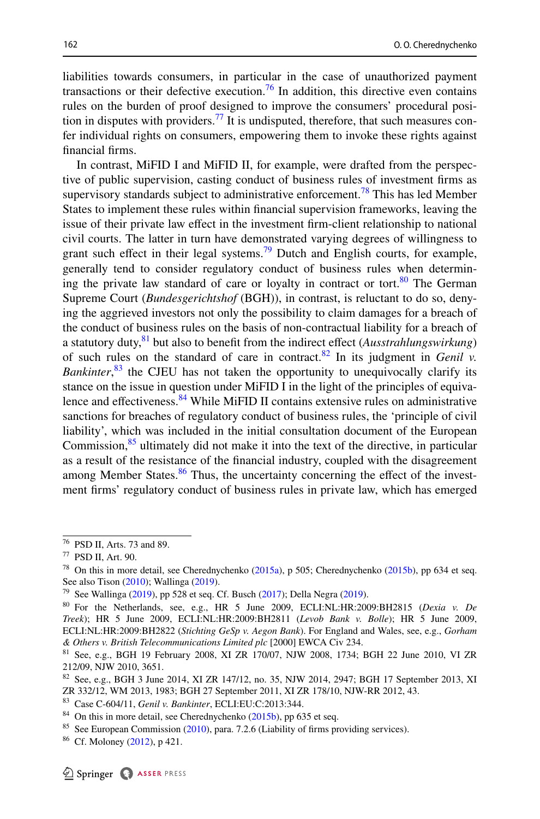liabilities towards consumers, in particular in the case of unauthorized payment transactions or their defective execution.<sup>76</sup> In addition, this directive even contains rules on the burden of proof designed to improve the consumers' procedural position in disputes with providers.<sup>77</sup> It is undisputed, therefore, that such measures confer individual rights on consumers, empowering them to invoke these rights against fnancial frms.

In contrast, MiFID I and MiFID II, for example, were drafted from the perspective of public supervision, casting conduct of business rules of investment frms as supervisory standards subject to administrative enforcement.<sup>78</sup> This has led Member States to implement these rules within fnancial supervision frameworks, leaving the issue of their private law efect in the investment frm-client relationship to national civil courts. The latter in turn have demonstrated varying degrees of willingness to grant such effect in their legal systems.<sup>79</sup> Dutch and English courts, for example, generally tend to consider regulatory conduct of business rules when determining the private law standard of care or loyalty in contract or tort. $80$  The German Supreme Court (*Bundesgerichtshof* (BGH)), in contrast, is reluctant to do so, denying the aggrieved investors not only the possibility to claim damages for a breach of the conduct of business rules on the basis of non-contractual liability for a breach of a statutory duty[,81](#page-15-5) but also to beneft from the indirect efect (*Ausstrahlungswirkung*) of such rules on the standard of care in contract.<sup>82</sup> In its judgment in *Genil v*. *Bankinter*, [83](#page-15-7) the CJEU has not taken the opportunity to unequivocally clarify its stance on the issue in question under MiFID I in the light of the principles of equiva-lence and effectiveness.<sup>[84](#page-15-8)</sup> While MiFID II contains extensive rules on administrative sanctions for breaches of regulatory conduct of business rules, the 'principle of civil liability', which was included in the initial consultation document of the European Commission, $85$  ultimately did not make it into the text of the directive, in particular as a result of the resistance of the fnancial industry, coupled with the disagreement among Member States. $86$  Thus, the uncertainty concerning the effect of the investment frms' regulatory conduct of business rules in private law, which has emerged

<span id="page-15-0"></span><sup>76</sup> PSD II, Arts. 73 and 89.

<span id="page-15-1"></span><sup>77</sup> PSD II, Art. 90.

<span id="page-15-2"></span><sup>&</sup>lt;sup>78</sup> On this in more detail, see Cherednychenko  $(2015a)$  $(2015a)$  $(2015a)$ , p 505; Cherednychenko  $(2015b)$  $(2015b)$ , pp 634 et seq. See also Tison [\(2010](#page-25-6)); Wallinga ([2019\)](#page-25-7).

<span id="page-15-3"></span><sup>&</sup>lt;sup>79</sup> See Wallinga ([2019\)](#page-23-16), pp 528 et seq. Cf. Busch [\(2017](#page-22-11)); Della Negra (2019).

<span id="page-15-4"></span><sup>80</sup> For the Netherlands, see, e.g., HR 5 June 2009, ECLI:NL:HR:2009:BH2815 (*Dexia v. De Treek*); HR 5 June 2009, ECLI:NL:HR:2009:BH2811 (*Levob Bank v. Bolle*); HR 5 June 2009, ECLI:NL:HR:2009:BH2822 (*Stichting GeSp v. Aegon Bank*). For England and Wales, see, e.g., *Gorham & Others v. British Telecommunications Limited plc* [2000] EWCA Civ 234.

<span id="page-15-5"></span><sup>81</sup> See, e.g., BGH 19 February 2008, XI ZR 170/07, NJW 2008, 1734; BGH 22 June 2010, VI ZR 212/09, NJW 2010, 3651.

<span id="page-15-6"></span><sup>82</sup> See, e.g., BGH 3 June 2014, XI ZR 147/12, no. 35, NJW 2014, 2947; BGH 17 September 2013, XI ZR 332/12, WM 2013, 1983; BGH 27 September 2011, XI ZR 178/10, NJW-RR 2012, 43.

<span id="page-15-7"></span><sup>83</sup> Case C-604/11, *Genil v. Bankinter*, ECLI:EU:C:2013:344.

<span id="page-15-8"></span> $84$  On this in more detail, see Cherednychenko ([2015b\)](#page-22-9), pp 635 et seq.

<span id="page-15-9"></span><sup>&</sup>lt;sup>85</sup> See European Commission ([2010\)](#page-23-17), para. 7.2.6 (Liability of firms providing services).

<span id="page-15-10"></span><sup>86</sup> Cf. Moloney [\(2012](#page-24-18)), p 421.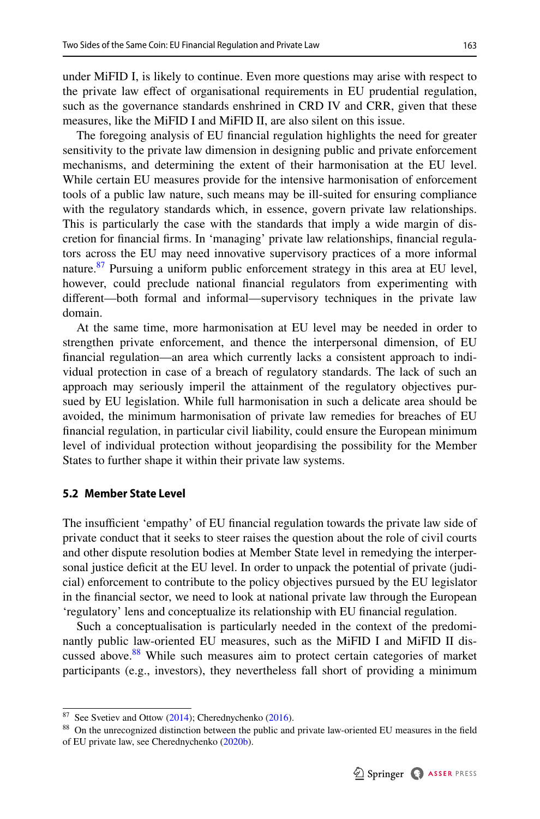under MiFID I, is likely to continue. Even more questions may arise with respect to the private law efect of organisational requirements in EU prudential regulation, such as the governance standards enshrined in CRD IV and CRR, given that these measures, like the MiFID I and MiFID II, are also silent on this issue.

The foregoing analysis of EU fnancial regulation highlights the need for greater sensitivity to the private law dimension in designing public and private enforcement mechanisms, and determining the extent of their harmonisation at the EU level. While certain EU measures provide for the intensive harmonisation of enforcement tools of a public law nature, such means may be ill-suited for ensuring compliance with the regulatory standards which, in essence, govern private law relationships. This is particularly the case with the standards that imply a wide margin of discretion for fnancial frms. In 'managing' private law relationships, fnancial regulators across the EU may need innovative supervisory practices of a more informal nature.<sup>87</sup> Pursuing a uniform public enforcement strategy in this area at EU level, however, could preclude national fnancial regulators from experimenting with diferent—both formal and informal—supervisory techniques in the private law domain.

At the same time, more harmonisation at EU level may be needed in order to strengthen private enforcement, and thence the interpersonal dimension, of EU fnancial regulation—an area which currently lacks a consistent approach to individual protection in case of a breach of regulatory standards. The lack of such an approach may seriously imperil the attainment of the regulatory objectives pursued by EU legislation. While full harmonisation in such a delicate area should be avoided, the minimum harmonisation of private law remedies for breaches of EU fnancial regulation, in particular civil liability, could ensure the European minimum level of individual protection without jeopardising the possibility for the Member States to further shape it within their private law systems.

#### **5.2 Member State Level**

The insufficient 'empathy' of EU financial regulation towards the private law side of private conduct that it seeks to steer raises the question about the role of civil courts and other dispute resolution bodies at Member State level in remedying the interpersonal justice defcit at the EU level. In order to unpack the potential of private (judicial) enforcement to contribute to the policy objectives pursued by the EU legislator in the fnancial sector, we need to look at national private law through the European 'regulatory' lens and conceptualize its relationship with EU fnancial regulation.

Such a conceptualisation is particularly needed in the context of the predominantly public law-oriented EU measures, such as the MiFID I and MiFID II discussed above.<sup>88</sup> While such measures aim to protect certain categories of market participants (e.g., investors), they nevertheless fall short of providing a minimum

<span id="page-16-0"></span> $87$  See Svetiev and Ottow ([2014\)](#page-25-8); Cherednychenko ([2016\)](#page-23-18).

<span id="page-16-1"></span><sup>88</sup> On the unrecognized distinction between the public and private law-oriented EU measures in the feld of EU private law, see Cherednychenko ([2020b\)](#page-23-6).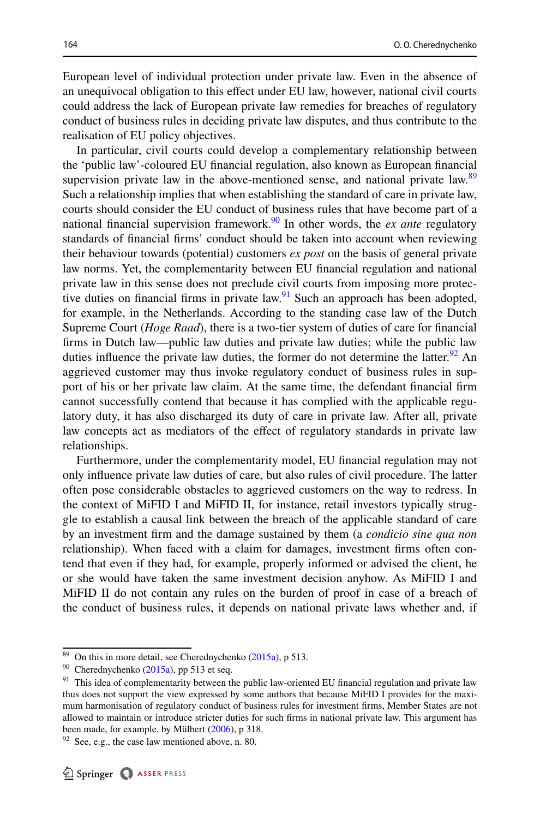European level of individual protection under private law. Even in the absence of an unequivocal obligation to this efect under EU law, however, national civil courts could address the lack of European private law remedies for breaches of regulatory conduct of business rules in deciding private law disputes, and thus contribute to the realisation of EU policy objectives.

In particular, civil courts could develop a complementary relationship between the 'public law'-coloured EU fnancial regulation, also known as European fnancial supervision private law in the above-mentioned sense, and national private law.<sup>89</sup> Such a relationship implies that when establishing the standard of care in private law, courts should consider the EU conduct of business rules that have become part of a national financial supervision framework.<sup>90</sup> In other words, the *ex ante* regulatory standards of fnancial frms' conduct should be taken into account when reviewing their behaviour towards (potential) customers *ex post* on the basis of general private law norms. Yet, the complementarity between EU fnancial regulation and national private law in this sense does not preclude civil courts from imposing more protective duties on financial firms in private law. $\frac{91}{2}$  Such an approach has been adopted, for example, in the Netherlands. According to the standing case law of the Dutch Supreme Court (*Hoge Raad*), there is a two-tier system of duties of care for fnancial frms in Dutch law—public law duties and private law duties; while the public law duties influence the private law duties, the former do not determine the latter.<sup>[92](#page-17-3)</sup> An aggrieved customer may thus invoke regulatory conduct of business rules in support of his or her private law claim. At the same time, the defendant fnancial frm cannot successfully contend that because it has complied with the applicable regulatory duty, it has also discharged its duty of care in private law. After all, private law concepts act as mediators of the efect of regulatory standards in private law relationships.

Furthermore, under the complementarity model, EU fnancial regulation may not only infuence private law duties of care, but also rules of civil procedure. The latter often pose considerable obstacles to aggrieved customers on the way to redress. In the context of MiFID I and MiFID II, for instance, retail investors typically struggle to establish a causal link between the breach of the applicable standard of care by an investment frm and the damage sustained by them (a *condicio sine qua non* relationship). When faced with a claim for damages, investment frms often contend that even if they had, for example, properly informed or advised the client, he or she would have taken the same investment decision anyhow. As MiFID I and MiFID II do not contain any rules on the burden of proof in case of a breach of the conduct of business rules, it depends on national private laws whether and, if

<span id="page-17-0"></span> $89$  On this in more detail, see Cherednychenko ([2015a](#page-22-10)), p 513.

<span id="page-17-1"></span> $90$  Cherednychenko ([2015a](#page-22-10)), pp 513 et seq.

<span id="page-17-2"></span><sup>&</sup>lt;sup>91</sup> This idea of complementarity between the public law-oriented EU financial regulation and private law thus does not support the view expressed by some authors that because MiFID I provides for the maximum harmonisation of regulatory conduct of business rules for investment frms, Member States are not allowed to maintain or introduce stricter duties for such frms in national private law. This argument has been made, for example, by Mülbert ([2006\)](#page-25-9), p 318.

<span id="page-17-3"></span> $92$  See, e.g., the case law mentioned above, n. 80.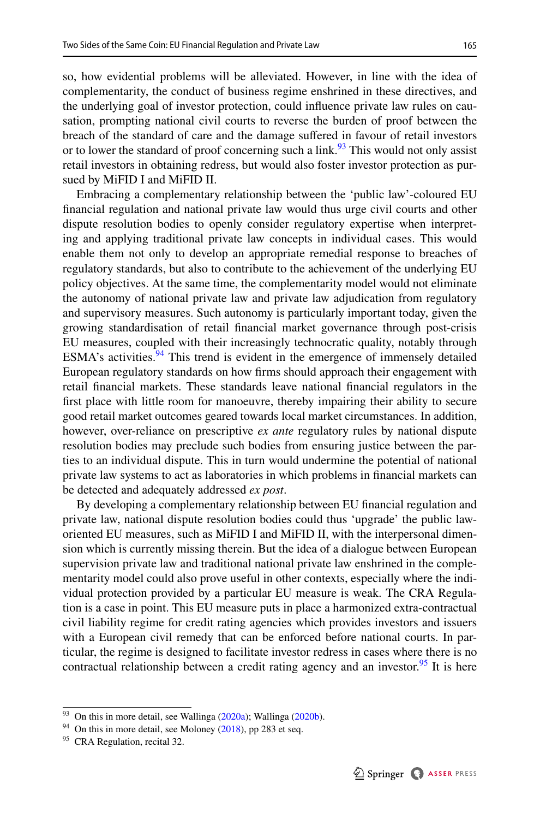so, how evidential problems will be alleviated. However, in line with the idea of complementarity, the conduct of business regime enshrined in these directives, and the underlying goal of investor protection, could infuence private law rules on causation, prompting national civil courts to reverse the burden of proof between the breach of the standard of care and the damage sufered in favour of retail investors or to lower the standard of proof concerning such a link.<sup>93</sup> This would not only assist retail investors in obtaining redress, but would also foster investor protection as pursued by MiFID I and MiFID II.

Embracing a complementary relationship between the 'public law'-coloured EU fnancial regulation and national private law would thus urge civil courts and other dispute resolution bodies to openly consider regulatory expertise when interpreting and applying traditional private law concepts in individual cases. This would enable them not only to develop an appropriate remedial response to breaches of regulatory standards, but also to contribute to the achievement of the underlying EU policy objectives. At the same time, the complementarity model would not eliminate the autonomy of national private law and private law adjudication from regulatory and supervisory measures. Such autonomy is particularly important today, given the growing standardisation of retail fnancial market governance through post-crisis EU measures, coupled with their increasingly technocratic quality, notably through ESMA's activities. $94$  This trend is evident in the emergence of immensely detailed European regulatory standards on how frms should approach their engagement with retail fnancial markets. These standards leave national fnancial regulators in the frst place with little room for manoeuvre, thereby impairing their ability to secure good retail market outcomes geared towards local market circumstances. In addition, however, over-reliance on prescriptive *ex ante* regulatory rules by national dispute resolution bodies may preclude such bodies from ensuring justice between the parties to an individual dispute. This in turn would undermine the potential of national private law systems to act as laboratories in which problems in fnancial markets can be detected and adequately addressed *ex post*.

By developing a complementary relationship between EU fnancial regulation and private law, national dispute resolution bodies could thus 'upgrade' the public laworiented EU measures, such as MiFID I and MiFID II, with the interpersonal dimension which is currently missing therein. But the idea of a dialogue between European supervision private law and traditional national private law enshrined in the complementarity model could also prove useful in other contexts, especially where the individual protection provided by a particular EU measure is weak. The CRA Regulation is a case in point. This EU measure puts in place a harmonized extra-contractual civil liability regime for credit rating agencies which provides investors and issuers with a European civil remedy that can be enforced before national courts. In particular, the regime is designed to facilitate investor redress in cases where there is no contractual relationship between a credit rating agency and an investor.<sup>95</sup> It is here

<span id="page-18-0"></span><sup>&</sup>lt;sup>93</sup> On this in more detail, see Wallinga [\(2020a\)](#page-25-10); Wallinga ([2020b\)](#page-25-11).

<span id="page-18-1"></span><sup>&</sup>lt;sup>94</sup> On this in more detail, see Moloney [\(2018](#page-25-3)), pp 283 et seq.

<span id="page-18-2"></span><sup>&</sup>lt;sup>95</sup> CRA Regulation, recital 32.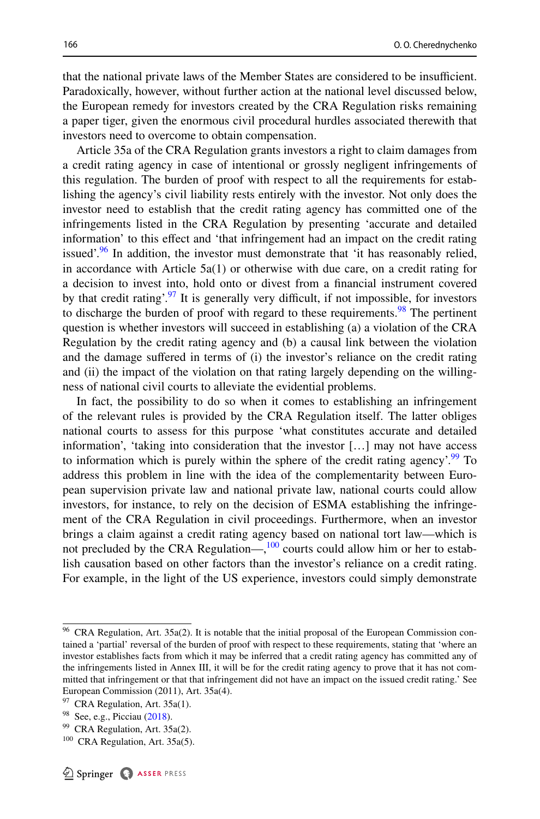that the national private laws of the Member States are considered to be insufficient. Paradoxically, however, without further action at the national level discussed below, the European remedy for investors created by the CRA Regulation risks remaining a paper tiger, given the enormous civil procedural hurdles associated therewith that investors need to overcome to obtain compensation.

Article 35a of the CRA Regulation grants investors a right to claim damages from a credit rating agency in case of intentional or grossly negligent infringements of this regulation. The burden of proof with respect to all the requirements for establishing the agency's civil liability rests entirely with the investor. Not only does the investor need to establish that the credit rating agency has committed one of the infringements listed in the CRA Regulation by presenting 'accurate and detailed information' to this efect and 'that infringement had an impact on the credit rating issued'.<sup>96</sup> In addition, the investor must demonstrate that 'it has reasonably relied, in accordance with Article  $5a(1)$  or otherwise with due care, on a credit rating for a decision to invest into, hold onto or divest from a fnancial instrument covered by that credit rating'. $97$  It is generally very difficult, if not impossible, for investors to discharge the burden of proof with regard to these requirements.<sup>98</sup> The pertinent question is whether investors will succeed in establishing (a) a violation of the CRA Regulation by the credit rating agency and (b) a causal link between the violation and the damage sufered in terms of (i) the investor's reliance on the credit rating and (ii) the impact of the violation on that rating largely depending on the willingness of national civil courts to alleviate the evidential problems.

In fact, the possibility to do so when it comes to establishing an infringement of the relevant rules is provided by the CRA Regulation itself. The latter obliges national courts to assess for this purpose 'what constitutes accurate and detailed information', 'taking into consideration that the investor […] may not have access to information which is purely within the sphere of the credit rating agency'.<sup>[99](#page-19-3)</sup> To address this problem in line with the idea of the complementarity between European supervision private law and national private law, national courts could allow investors, for instance, to rely on the decision of ESMA establishing the infringement of the CRA Regulation in civil proceedings. Furthermore, when an investor brings a claim against a credit rating agency based on national tort law—which is not precluded by the CRA Regulation— $,100$  $,100$  courts could allow him or her to establish causation based on other factors than the investor's reliance on a credit rating. For example, in the light of the US experience, investors could simply demonstrate

<span id="page-19-0"></span><sup>96</sup> CRA Regulation, Art. 35a(2). It is notable that the initial proposal of the European Commission contained a 'partial' reversal of the burden of proof with respect to these requirements, stating that 'where an investor establishes facts from which it may be inferred that a credit rating agency has committed any of the infringements listed in Annex III, it will be for the credit rating agency to prove that it has not committed that infringement or that that infringement did not have an impact on the issued credit rating.' See European Commission (2011), Art. 35a(4).

<span id="page-19-1"></span><sup>&</sup>lt;sup>97</sup> CRA Regulation, Art. 35a(1).

<span id="page-19-2"></span><sup>&</sup>lt;sup>98</sup> See, e.g., Picciau ([2018\)](#page-25-12).

<span id="page-19-3"></span><sup>99</sup> CRA Regulation, Art. 35a(2).

<span id="page-19-4"></span> $100$  CRA Regulation, Art. 35a(5).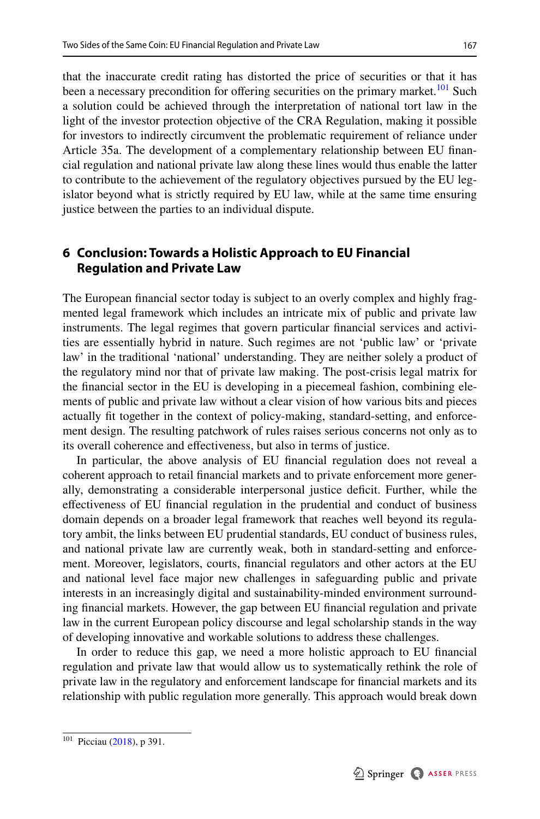that the inaccurate credit rating has distorted the price of securities or that it has

been a necessary precondition for offering securities on the primary market.<sup>101</sup> Such a solution could be achieved through the interpretation of national tort law in the light of the investor protection objective of the CRA Regulation, making it possible for investors to indirectly circumvent the problematic requirement of reliance under Article 35a. The development of a complementary relationship between EU fnancial regulation and national private law along these lines would thus enable the latter to contribute to the achievement of the regulatory objectives pursued by the EU legislator beyond what is strictly required by EU law, while at the same time ensuring justice between the parties to an individual dispute.

# <span id="page-20-0"></span>**6 Conclusion: Towards a Holistic Approach to EU Financial Regulation and Private Law**

The European fnancial sector today is subject to an overly complex and highly fragmented legal framework which includes an intricate mix of public and private law instruments. The legal regimes that govern particular fnancial services and activities are essentially hybrid in nature. Such regimes are not 'public law' or 'private law' in the traditional 'national' understanding. They are neither solely a product of the regulatory mind nor that of private law making. The post-crisis legal matrix for the fnancial sector in the EU is developing in a piecemeal fashion, combining elements of public and private law without a clear vision of how various bits and pieces actually ft together in the context of policy-making, standard-setting, and enforcement design. The resulting patchwork of rules raises serious concerns not only as to its overall coherence and efectiveness, but also in terms of justice.

In particular, the above analysis of EU fnancial regulation does not reveal a coherent approach to retail fnancial markets and to private enforcement more generally, demonstrating a considerable interpersonal justice defcit. Further, while the efectiveness of EU fnancial regulation in the prudential and conduct of business domain depends on a broader legal framework that reaches well beyond its regulatory ambit, the links between EU prudential standards, EU conduct of business rules, and national private law are currently weak, both in standard-setting and enforcement. Moreover, legislators, courts, fnancial regulators and other actors at the EU and national level face major new challenges in safeguarding public and private interests in an increasingly digital and sustainability-minded environment surrounding fnancial markets. However, the gap between EU fnancial regulation and private law in the current European policy discourse and legal scholarship stands in the way of developing innovative and workable solutions to address these challenges.

In order to reduce this gap, we need a more holistic approach to EU fnancial regulation and private law that would allow us to systematically rethink the role of private law in the regulatory and enforcement landscape for fnancial markets and its relationship with public regulation more generally. This approach would break down

<span id="page-20-1"></span><sup>101</sup> Picciau ([2018\)](#page-25-12), p 391.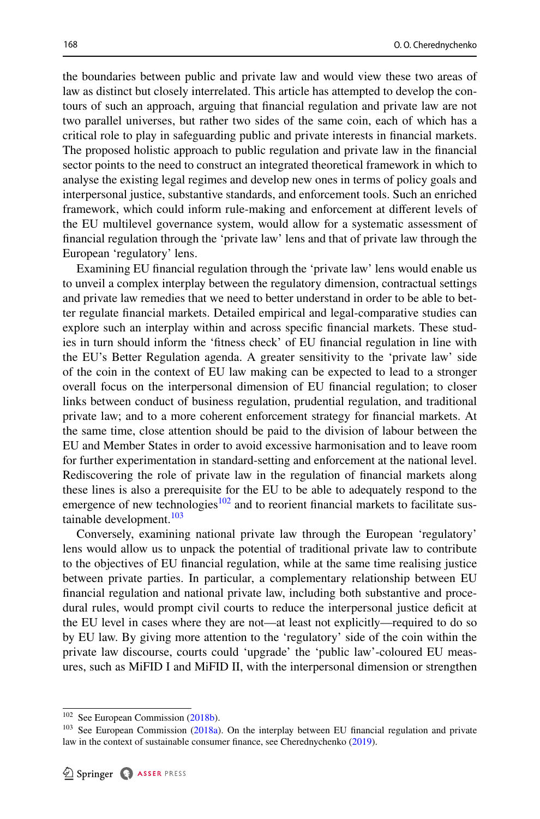the boundaries between public and private law and would view these two areas of law as distinct but closely interrelated. This article has attempted to develop the contours of such an approach, arguing that fnancial regulation and private law are not two parallel universes, but rather two sides of the same coin, each of which has a critical role to play in safeguarding public and private interests in fnancial markets. The proposed holistic approach to public regulation and private law in the fnancial sector points to the need to construct an integrated theoretical framework in which to analyse the existing legal regimes and develop new ones in terms of policy goals and interpersonal justice, substantive standards, and enforcement tools. Such an enriched framework, which could inform rule-making and enforcement at diferent levels of the EU multilevel governance system, would allow for a systematic assessment of fnancial regulation through the 'private law' lens and that of private law through the European 'regulatory' lens.

Examining EU fnancial regulation through the 'private law' lens would enable us to unveil a complex interplay between the regulatory dimension, contractual settings and private law remedies that we need to better understand in order to be able to better regulate fnancial markets. Detailed empirical and legal-comparative studies can explore such an interplay within and across specifc fnancial markets. These studies in turn should inform the 'ftness check' of EU fnancial regulation in line with the EU's Better Regulation agenda. A greater sensitivity to the 'private law' side of the coin in the context of EU law making can be expected to lead to a stronger overall focus on the interpersonal dimension of EU fnancial regulation; to closer links between conduct of business regulation, prudential regulation, and traditional private law; and to a more coherent enforcement strategy for fnancial markets. At the same time, close attention should be paid to the division of labour between the EU and Member States in order to avoid excessive harmonisation and to leave room for further experimentation in standard-setting and enforcement at the national level. Rediscovering the role of private law in the regulation of fnancial markets along these lines is also a prerequisite for the EU to be able to adequately respond to the emergence of new technologies<sup>[102](#page-21-0)</sup> and to reorient financial markets to facilitate sustainable development.<sup>103</sup>

Conversely, examining national private law through the European 'regulatory' lens would allow us to unpack the potential of traditional private law to contribute to the objectives of EU fnancial regulation, while at the same time realising justice between private parties. In particular, a complementary relationship between EU fnancial regulation and national private law, including both substantive and procedural rules, would prompt civil courts to reduce the interpersonal justice deficit at the EU level in cases where they are not—at least not explicitly—required to do so by EU law. By giving more attention to the 'regulatory' side of the coin within the private law discourse, courts could 'upgrade' the 'public law'-coloured EU measures, such as MiFID I and MiFID II, with the interpersonal dimension or strengthen

<span id="page-21-0"></span><sup>&</sup>lt;sup>102</sup> See European Commission ([2018b\)](#page-24-12).

<span id="page-21-1"></span><sup>&</sup>lt;sup>103</sup> See European Commission ([2018a](#page-24-19)). On the interplay between EU financial regulation and private law in the context of sustainable consumer fnance, see Cherednychenko ([2019\)](#page-23-19).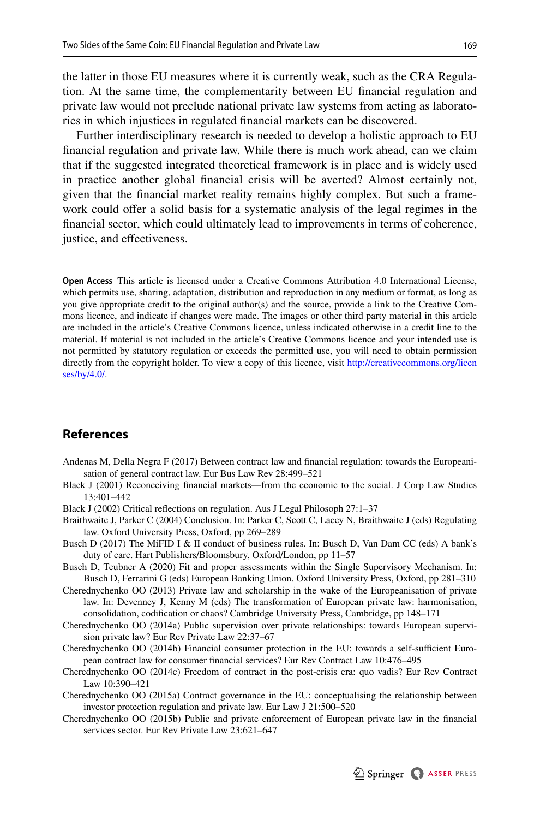the latter in those EU measures where it is currently weak, such as the CRA Regulation. At the same time, the complementarity between EU fnancial regulation and private law would not preclude national private law systems from acting as laboratories in which injustices in regulated fnancial markets can be discovered.

Further interdisciplinary research is needed to develop a holistic approach to EU fnancial regulation and private law. While there is much work ahead, can we claim that if the suggested integrated theoretical framework is in place and is widely used in practice another global fnancial crisis will be averted? Almost certainly not, given that the fnancial market reality remains highly complex. But such a framework could ofer a solid basis for a systematic analysis of the legal regimes in the fnancial sector, which could ultimately lead to improvements in terms of coherence, justice, and efectiveness.

**Open Access** This article is licensed under a Creative Commons Attribution 4.0 International License, which permits use, sharing, adaptation, distribution and reproduction in any medium or format, as long as you give appropriate credit to the original author(s) and the source, provide a link to the Creative Commons licence, and indicate if changes were made. The images or other third party material in this article are included in the article's Creative Commons licence, unless indicated otherwise in a credit line to the material. If material is not included in the article's Creative Commons licence and your intended use is not permitted by statutory regulation or exceeds the permitted use, you will need to obtain permission directly from the copyright holder. To view a copy of this licence, visit [http://creativecommons.org/licen](http://creativecommons.org/licenses/by/4.0/) [ses/by/4.0/](http://creativecommons.org/licenses/by/4.0/).

### **References**

- <span id="page-22-2"></span>Andenas M, Della Negra F (2017) Between contract law and fnancial regulation: towards the Europeanisation of general contract law. Eur Bus Law Rev 28:499–521
- <span id="page-22-6"></span>Black J (2001) Reconceiving fnancial markets—from the economic to the social. J Corp Law Studies 13:401–442
- <span id="page-22-3"></span>Black J (2002) Critical refections on regulation. Aus J Legal Philosoph 27:1–37
- <span id="page-22-4"></span>Braithwaite J, Parker C (2004) Conclusion. In: Parker C, Scott C, Lacey N, Braithwaite J (eds) Regulating law. Oxford University Press, Oxford, pp 269–289
- <span id="page-22-11"></span>Busch D (2017) The MiFID I & II conduct of business rules. In: Busch D, Van Dam CC (eds) A bank's duty of care. Hart Publishers/Bloomsbury, Oxford/London, pp 11–57
- <span id="page-22-8"></span>Busch D, Teubner A (2020) Fit and proper assessments within the Single Supervisory Mechanism. In: Busch D, Ferrarini G (eds) European Banking Union. Oxford University Press, Oxford, pp 281–310
- <span id="page-22-5"></span>Cherednychenko OO (2013) Private law and scholarship in the wake of the Europeanisation of private law. In: Devenney J, Kenny M (eds) The transformation of European private law: harmonisation, consolidation, codifcation or chaos? Cambridge University Press, Cambridge, pp 148–171
- <span id="page-22-0"></span>Cherednychenko OO (2014a) Public supervision over private relationships: towards European supervision private law? Eur Rev Private Law 22:37–67
- <span id="page-22-1"></span>Cherednychenko OO (2014b) Financial consumer protection in the EU: towards a self-sufficient European contract law for consumer fnancial services? Eur Rev Contract Law 10:476–495
- <span id="page-22-7"></span>Cherednychenko OO (2014c) Freedom of contract in the post-crisis era: quo vadis? Eur Rev Contract Law 10:390–421
- <span id="page-22-10"></span>Cherednychenko OO (2015a) Contract governance in the EU: conceptualising the relationship between investor protection regulation and private law. Eur Law J 21:500–520
- <span id="page-22-9"></span>Cherednychenko OO (2015b) Public and private enforcement of European private law in the fnancial services sector. Eur Rev Private Law 23:621–647

Springer & ASSER PRESS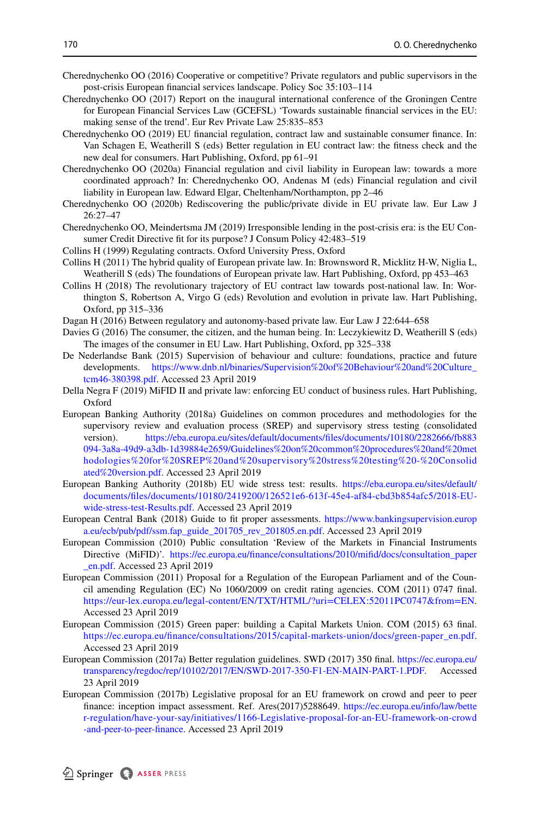- <span id="page-23-18"></span>Cherednychenko OO (2016) Cooperative or competitive? Private regulators and public supervisors in the post-crisis European fnancial services landscape. Policy Soc 35:103–114
- <span id="page-23-11"></span>Cherednychenko OO (2017) Report on the inaugural international conference of the Groningen Centre for European Financial Services Law (GCEFSL) 'Towards sustainable fnancial services in the EU: making sense of the trend'. Eur Rev Private Law 25:835–853
- <span id="page-23-19"></span>Cherednychenko OO (2019) EU fnancial regulation, contract law and sustainable consumer fnance. In: Van Schagen E, Weatherill S (eds) Better regulation in EU contract law: the ftness check and the new deal for consumers. Hart Publishing, Oxford, pp 61–91
- <span id="page-23-15"></span>Cherednychenko OO (2020a) Financial regulation and civil liability in European law: towards a more coordinated approach? In: Cherednychenko OO, Andenas M (eds) Financial regulation and civil liability in European law. Edward Elgar, Cheltenham/Northampton, pp 2–46
- <span id="page-23-6"></span>Cherednychenko OO (2020b) Rediscovering the public/private divide in EU private law. Eur Law J 26:27–47
- <span id="page-23-8"></span>Cherednychenko OO, Meindertsma JM (2019) Irresponsible lending in the post-crisis era: is the EU Consumer Credit Directive ft for its purpose? J Consum Policy 42:483–519
- <span id="page-23-0"></span>Collins H (1999) Regulating contracts. Oxford University Press, Oxford
- <span id="page-23-2"></span>Collins H (2011) The hybrid quality of European private law. In: Brownsword R, Micklitz H-W, Niglia L, Weatherill S (eds) The foundations of European private law. Hart Publishing, Oxford, pp 453–463
- <span id="page-23-5"></span>Collins H (2018) The revolutionary trajectory of EU contract law towards post-national law. In: Worthington S, Robertson A, Virgo G (eds) Revolution and evolution in private law. Hart Publishing, Oxford, pp 315–336
- <span id="page-23-1"></span>Dagan H (2016) Between regulatory and autonomy-based private law. Eur Law J 22:644–658
- <span id="page-23-4"></span>Davies G (2016) The consumer, the citizen, and the human being. In: Leczykiewitz D, Weatherill S (eds) The images of the consumer in EU Law. Hart Publishing, Oxford, pp 325–338
- <span id="page-23-12"></span>De Nederlandse Bank (2015) Supervision of behaviour and culture: foundations, practice and future developments. [https://www.dnb.nl/binaries/Supervision%20of%20Behaviour%20and%20Culture\\_](https://www.dnb.nl/binaries/Supervision%20of%20Behaviour%20and%20Culture_tcm46-380398.pdf) [tcm46-380398.pdf](https://www.dnb.nl/binaries/Supervision%20of%20Behaviour%20and%20Culture_tcm46-380398.pdf). Accessed 23 April 2019
- <span id="page-23-16"></span>Della Negra F (2019) MiFID II and private law: enforcing EU conduct of business rules. Hart Publishing, Oxford
- <span id="page-23-13"></span>European Banking Authority (2018a) Guidelines on common procedures and methodologies for the supervisory review and evaluation process (SREP) and supervisory stress testing (consolidated version). [https://eba.europa.eu/sites/default/documents/fles/documents/10180/2282666/fb883](https://eba.europa.eu/sites/default/documents/files/documents/10180/2282666/fb883094-3a8a-49d9-a3db-1d39884e2659/Guidelines%20on%20common%20procedures%20and%20methodologies%20for%20SREP%20and%20supervisory%20stress%20testing%20-%20Consolidated%20version.pdf) [094-3a8a-49d9-a3db-1d39884e2659/Guidelines%20on%20common%20procedures%20and%20met](https://eba.europa.eu/sites/default/documents/files/documents/10180/2282666/fb883094-3a8a-49d9-a3db-1d39884e2659/Guidelines%20on%20common%20procedures%20and%20methodologies%20for%20SREP%20and%20supervisory%20stress%20testing%20-%20Consolidated%20version.pdf) [hodologies%20for%20SREP%20and%20supervisory%20stress%20testing%20-%20Consolid](https://eba.europa.eu/sites/default/documents/files/documents/10180/2282666/fb883094-3a8a-49d9-a3db-1d39884e2659/Guidelines%20on%20common%20procedures%20and%20methodologies%20for%20SREP%20and%20supervisory%20stress%20testing%20-%20Consolidated%20version.pdf) [ated%20version.pdf](https://eba.europa.eu/sites/default/documents/files/documents/10180/2282666/fb883094-3a8a-49d9-a3db-1d39884e2659/Guidelines%20on%20common%20procedures%20and%20methodologies%20for%20SREP%20and%20supervisory%20stress%20testing%20-%20Consolidated%20version.pdf). Accessed 23 April 2019
- <span id="page-23-14"></span>European Banking Authority (2018b) EU wide stress test: results. [https://eba.europa.eu/sites/default/](https://eba.europa.eu/sites/default/documents/files/documents/10180/2419200/126521e6-613f-45e4-af84-cbd3b854afc5/2018-EU-wide-stress-test-Results.pdf) [documents/fles/documents/10180/2419200/126521e6-613f-45e4-af84-cbd3b854afc5/2018-EU](https://eba.europa.eu/sites/default/documents/files/documents/10180/2419200/126521e6-613f-45e4-af84-cbd3b854afc5/2018-EU-wide-stress-test-Results.pdf)[wide-stress-test-Results.pdf](https://eba.europa.eu/sites/default/documents/files/documents/10180/2419200/126521e6-613f-45e4-af84-cbd3b854afc5/2018-EU-wide-stress-test-Results.pdf). Accessed 23 April 2019
- <span id="page-23-10"></span>European Central Bank (2018) Guide to ft proper assessments. [https://www.bankingsupervision.europ](https://www.bankingsupervision.europa.eu/ecb/pub/pdf/ssm.fap_guide_201705_rev_201805.en.pdf) [a.eu/ecb/pub/pdf/ssm.fap\\_guide\\_201705\\_rev\\_201805.en.pdf](https://www.bankingsupervision.europa.eu/ecb/pub/pdf/ssm.fap_guide_201705_rev_201805.en.pdf). Accessed 23 April 2019
- <span id="page-23-17"></span>European Commission (2010) Public consultation 'Review of the Markets in Financial Instruments Directive (MiFID)'. [https://ec.europa.eu/fnance/consultations/2010/mifd/docs/consultation\\_paper](https://ec.europa.eu/finance/consultations/2010/mifid/docs/consultation_paper_en.pdf) [\\_en.pdf](https://ec.europa.eu/finance/consultations/2010/mifid/docs/consultation_paper_en.pdf). Accessed 23 April 2019
- European Commission (2011) Proposal for a Regulation of the European Parliament and of the Council amending Regulation (EC) No 1060/2009 on credit rating agencies. COM (2011) 0747 fnal. <https://eur-lex.europa.eu/legal-content/EN/TXT/HTML/?uri=CELEX:52011PC0747&from=EN>. Accessed 23 April 2019
- <span id="page-23-9"></span>European Commission (2015) Green paper: building a Capital Markets Union. COM (2015) 63 fnal. [https://ec.europa.eu/fnance/consultations/2015/capital-markets-union/docs/green-paper\\_en.pdf](https://ec.europa.eu/finance/consultations/2015/capital-markets-union/docs/green-paper_en.pdf). Accessed 23 April 2019
- <span id="page-23-3"></span>European Commission (2017a) Better regulation guidelines. SWD (2017) 350 fnal. [https://ec.europa.eu/](https://ec.europa.eu/transparency/regdoc/rep/10102/2017/EN/SWD-2017-350-F1-EN-MAIN-PART-1.PDF) [transparency/regdoc/rep/10102/2017/EN/SWD-2017-350-F1-EN-MAIN-PART-1.PDF](https://ec.europa.eu/transparency/regdoc/rep/10102/2017/EN/SWD-2017-350-F1-EN-MAIN-PART-1.PDF). Accessed 23 April 2019
- <span id="page-23-7"></span>European Commission (2017b) Legislative proposal for an EU framework on crowd and peer to peer fnance: inception impact assessment. Ref. Ares(2017)5288649. [https://ec.europa.eu/info/law/bette](https://ec.europa.eu/info/law/better-regulation/have-your-say/initiatives/1166-Legislative-proposal-for-an-EU-framework-on-crowd-and-peer-to-peer-finance) [r-regulation/have-your-say/initiatives/1166-Legislative-proposal-for-an-EU-framework-on-crowd](https://ec.europa.eu/info/law/better-regulation/have-your-say/initiatives/1166-Legislative-proposal-for-an-EU-framework-on-crowd-and-peer-to-peer-finance) [-and-peer-to-peer-fnance](https://ec.europa.eu/info/law/better-regulation/have-your-say/initiatives/1166-Legislative-proposal-for-an-EU-framework-on-crowd-and-peer-to-peer-finance). Accessed 23 April 2019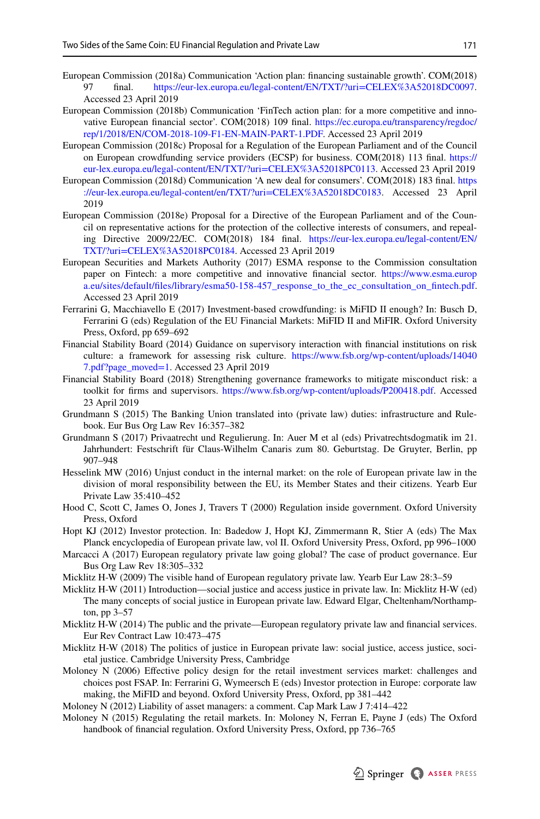- <span id="page-24-19"></span>European Commission (2018a) Communication 'Action plan: financing sustainable growth'. COM(2018)<br>
97 final bitro://eur-lex.europa.eu/legal-content/EN/TXT/?uri=CELEX%3A52018DC0097 <https://eur-lex.europa.eu/legal-content/EN/TXT/?uri=CELEX%3A52018DC0097>. Accessed 23 April 2019
- <span id="page-24-12"></span>European Commission (2018b) Communication 'FinTech action plan: for a more competitive and innovative European fnancial sector'. COM(2018) 109 fnal. [https://ec.europa.eu/transparency/regdoc/](https://ec.europa.eu/transparency/regdoc/rep/1/2018/EN/COM-2018-109-F1-EN-MAIN-PART-1.PDF) [rep/1/2018/EN/COM-2018-109-F1-EN-MAIN-PART-1.PDF.](https://ec.europa.eu/transparency/regdoc/rep/1/2018/EN/COM-2018-109-F1-EN-MAIN-PART-1.PDF) Accessed 23 April 2019
- <span id="page-24-10"></span>European Commission (2018c) Proposal for a Regulation of the European Parliament and of the Council on European crowdfunding service providers (ECSP) for business. COM(2018) 113 fnal. [https://](https://eur-lex.europa.eu/legal-content/EN/TXT/?uri=CELEX%3A52018PC0113) [eur-lex.europa.eu/legal-content/EN/TXT/?uri=CELEX%3A52018PC0113.](https://eur-lex.europa.eu/legal-content/EN/TXT/?uri=CELEX%3A52018PC0113) Accessed 23 April 2019
- European Commission (2018d) Communication 'A new deal for consumers'. COM(2018) 183 fnal. [https](https://eur-lex.europa.eu/legal-content/en/TXT/?uri=CELEX%3A52018DC0183) [://eur-lex.europa.eu/legal-content/en/TXT/?uri=CELEX%3A52018DC0183.](https://eur-lex.europa.eu/legal-content/en/TXT/?uri=CELEX%3A52018DC0183) Accessed 23 April 2019
- European Commission (2018e) Proposal for a Directive of the European Parliament and of the Council on representative actions for the protection of the collective interests of consumers, and repealing Directive 2009/22/EC. COM(2018) 184 fnal. [https://eur-lex.europa.eu/legal-content/EN/](https://eur-lex.europa.eu/legal-content/EN/TXT/?uri=CELEX%3A52018PC0184) [TXT/?uri=CELEX%3A52018PC0184](https://eur-lex.europa.eu/legal-content/EN/TXT/?uri=CELEX%3A52018PC0184). Accessed 23 April 2019
- <span id="page-24-13"></span>European Securities and Markets Authority (2017) ESMA response to the Commission consultation paper on Fintech: a more competitive and innovative fnancial sector. [https://www.esma.europ](https://www.esma.europa.eu/sites/default/files/library/esma50-158-457_response_to_the_ec_consultation_on_fintech.pdf) [a.eu/sites/default/fles/library/esma50-158-457\\_response\\_to\\_the\\_ec\\_consultation\\_on\\_fntech.pdf](https://www.esma.europa.eu/sites/default/files/library/esma50-158-457_response_to_the_ec_consultation_on_fintech.pdf). Accessed 23 April 2019
- <span id="page-24-11"></span>Ferrarini G, Macchiavello E (2017) Investment-based crowdfunding: is MiFID II enough? In: Busch D, Ferrarini G (eds) Regulation of the EU Financial Markets: MiFID II and MiFIR. Oxford University Press, Oxford, pp 659–692
- <span id="page-24-15"></span>Financial Stability Board (2014) Guidance on supervisory interaction with fnancial institutions on risk culture: a framework for assessing risk culture. [https://www.fsb.org/wp-content/uploads/14040](https://www.fsb.org/wp-content/uploads/140407.pdf?page_moved=1) [7.pdf?page\\_moved=1](https://www.fsb.org/wp-content/uploads/140407.pdf?page_moved=1). Accessed 23 April 2019
- <span id="page-24-16"></span>Financial Stability Board (2018) Strengthening governance frameworks to mitigate misconduct risk: a toolkit for frms and supervisors. [https://www.fsb.org/wp-content/uploads/P200418.pdf.](https://www.fsb.org/wp-content/uploads/P200418.pdf) Accessed 23 April 2019
- <span id="page-24-14"></span>Grundmann S (2015) The Banking Union translated into (private law) duties: infrastructure and Rulebook. Eur Bus Org Law Rev 16:357–382
- <span id="page-24-1"></span>Grundmann S (2017) Privaatrecht und Regulierung. In: Auer M et al (eds) Privatrechtsdogmatik im 21. Jahrhundert: Festschrift für Claus-Wilhelm Canaris zum 80. Geburtstag. De Gruyter, Berlin, pp 907–948
- <span id="page-24-8"></span>Hesselink MW (2016) Unjust conduct in the internal market: on the role of European private law in the division of moral responsibility between the EU, its Member States and their citizens. Yearb Eur Private Law 35:410–452
- <span id="page-24-3"></span>Hood C, Scott C, James O, Jones J, Travers T (2000) Regulation inside government. Oxford University Press, Oxford
- <span id="page-24-2"></span>Hopt KJ (2012) Investor protection. In: Badedow J, Hopt KJ, Zimmermann R, Stier A (eds) The Max Planck encyclopedia of European private law, vol II. Oxford University Press, Oxford, pp 996–1000
- <span id="page-24-5"></span>Marcacci A (2017) European regulatory private law going global? The case of product governance. Eur Bus Org Law Rev 18:305–332
- <span id="page-24-4"></span>Micklitz H-W (2009) The visible hand of European regulatory private law. Yearb Eur Law 28:3–59
- <span id="page-24-6"></span>Micklitz H-W (2011) Introduction—social justice and access justice in private law. In: Micklitz H-W (ed) The many concepts of social justice in European private law. Edward Elgar, Cheltenham/Northampton, pp 3–57
- <span id="page-24-0"></span>Micklitz H-W (2014) The public and the private—European regulatory private law and fnancial services. Eur Rev Contract Law 10:473–475
- <span id="page-24-7"></span>Micklitz H-W (2018) The politics of justice in European private law: social justice, access justice, societal justice. Cambridge University Press, Cambridge
- <span id="page-24-17"></span>Moloney N (2006) Efective policy design for the retail investment services market: challenges and choices post FSAP. In: Ferrarini G, Wymeersch E (eds) Investor protection in Europe: corporate law making, the MiFID and beyond. Oxford University Press, Oxford, pp 381–442

<span id="page-24-18"></span>Moloney N (2012) Liability of asset managers: a comment. Cap Mark Law J 7:414–422

<span id="page-24-9"></span>Moloney N (2015) Regulating the retail markets. In: Moloney N, Ferran E, Payne J (eds) The Oxford handbook of fnancial regulation. Oxford University Press, Oxford, pp 736–765